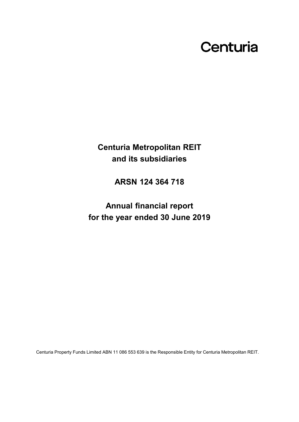# Centuria

**Centuria Metropolitan REIT and its subsidiaries**

**ARSN 124 364 718**

**Annual financial report for the year ended 30 June 2019**

Centuria Property Funds Limited ABN 11 086 553 639 is the Responsible Entity for Centuria Metropolitan REIT.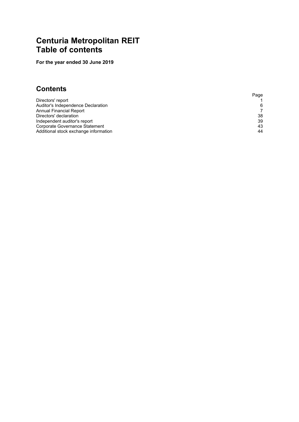### **Centuria Metropolitan REIT Table of contents**

**For the year ended 30 June 2019**

### **Contents**

|                                       | Page |
|---------------------------------------|------|
| Directors' report                     |      |
| Auditor's Independence Declaration    | 6    |
| Annual Financial Report               |      |
| Directors' declaration                | 38   |
| Independent auditor's report          | 39   |
| Corporate Governance Statement        | 43   |
| Additional stock exchange information | 44   |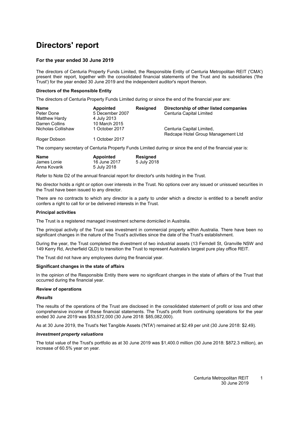### <span id="page-2-0"></span>**Directors' report**

#### **For the year ended 30 June 2019**

The directors of Centuria Property Funds Limited, the Responsible Entity of Centuria Metropolitan REIT ('CMA') present their report, together with the consolidated financial statements of the Trust and its subsidiaries ('the Trust') for the year ended 30 June 2019 and the independent auditor's report thereon.

#### **Directors of the Responsible Entity**

The directors of Centuria Property Funds Limited during or since the end of the financial year are:

| Directorship of other listed companies |
|----------------------------------------|
|                                        |
|                                        |
|                                        |
|                                        |
| Redcape Hotel Group Management Ltd     |
|                                        |
|                                        |

The company secretary of Centuria Property Funds Limited during or since the end of the financial year is:

| Name         | Appointed    | <b>Resigned</b> |
|--------------|--------------|-----------------|
| James Lonie  | 16 June 2017 | 5 July 2018     |
| Anna Kovarik | 5 July 2018  |                 |

Refer to Note [D2](#page-29-0) of the annual financial report for director's units holding in the Trust.

No director holds a right or option over interests in the Trust. No options over any issued or unissued securities in the Trust have been issued to any director.

There are no contracts to which any director is a party to under which a director is entitled to a benefit and/or confers a right to call for or be delivered interests in the Trust.

#### **Principal activities**

The Trust is a registered managed investment scheme domiciled in Australia.

The principal activity of the Trust was investment in commercial property within Australia. There have been no significant changes in the nature of the Trust's activities since the date of the Trust's establishment.

During the year, the Trust completed the divestment of two industrial assets (13 Ferndell St, Granville NSW and 149 Kerry Rd, Archerfield QLD) to transition the Trust to represent Australia's largest pure play office REIT.

The Trust did not have any employees during the financial year.

#### **Significant changes in the state of affairs**

In the opinion of the Responsible Entity there were no significant changes in the state of affairs of the Trust that occurred during the financial year.

#### **Review of operations**

#### *Results*

The results of the operations of the Trust are disclosed in the consolidated statement of profit or loss and other comprehensive income of these financial statements. The Trust's profit from continuing operations for the year ended 30 June 2019 was \$53,572,000 (30 June 2018: \$85,082,000).

As at 30 June 2019, the Trust's Net Tangible Assets ('NTA') remained at \$2.49 per unit (30 June 2018: \$2.49).

#### *Investment property valuations*

The total value of the Trust's portfolio as at 30 June 2019 was \$1,400.0 million (30 June 2018: \$872.3 million), an increase of 60.5% year on year.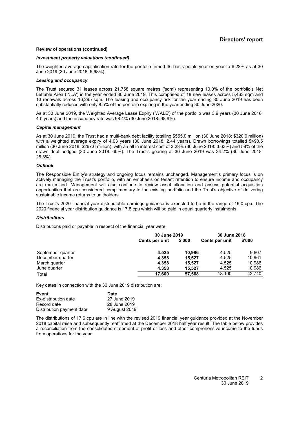#### **Directors' report**

#### **Review of operations (continued)**

#### *Investment property valuations (continued)*

The weighted average capitalisation rate for the portfolio firmed 46 basis points year on year to 6.22% as at 30 June 2019 (30 June 2018: 6.68%).

#### *Leasing and occupancy*

The Trust secured 31 leases across 21,758 square metres ('sqm') representing 10.0% of the portfolio's Net Lettable Area ('NLA') in the year ended 30 June 2019. This comprised of 18 new leases across 5.463 sqm and 13 renewals across 16,295 sqm. The leasing and occupancy risk for the year ending 30 June 2019 has been substantially reduced with only 8.5% of the portfolio expiring in the year ending 30 June 2020.

As at 30 June 2019, the Weighted Average Lease Expiry ('WALE') of the portfolio was 3.9 years (30 June 2018: 4.0 years) and the occupancy rate was 98.4% (30 June 2018: 98.9%).

#### *Capital management*

As at 30 June 2019, the Trust had a multi-bank debt facility totalling \$555.0 million (30 June 2018: \$320.0 million) with a weighted average expiry of 4.03 years (30 June 2018: 2.44 years). Drawn borrowings totalled \$498.5 million (30 June 2018: \$267.6 million), with an all in interest cost of 3.23% (30 June 2018: 3.63%) and 58% of the drawn debt hedged (30 June 2018: 60%). The Trust's gearing at 30 June 2019 was 34.2% (30 June 2018: 28.3%).

#### *Outlook*

The Responsible Entity's strategy and ongoing focus remains unchanged. Management's primary focus is on actively managing the Trust's portfolio, with an emphasis on tenant retention to ensure income and occupancy are maximised. Management will also continue to review asset allocation and assess potential acquisition opportunities that are considered complimentary to the existing portfolio and the Trust's objective of delivering sustainable income returns to unitholders.

The Trust's 2020 financial year distributable earnings guidance is expected to be in the range of 19.0 cpu. The 2020 financial year distribution guidance is 17.8 cpu which will be paid in equal quarterly instalments.

#### *Distributions*

Distributions paid or payable in respect of the financial year were:

|                   |                | 30 June 2019 |                | 30 June 2018 |
|-------------------|----------------|--------------|----------------|--------------|
|                   | Cents per unit | \$'000       | Cents per unit | \$'000       |
| September quarter | 4.525          | 10.986       | 4.525          | 9.807        |
| December quarter  | 4.358          | 15.527       | 4.525          | 10.961       |
| March quarter     | 4.358          | 15.527       | 4.525          | 10.986       |
| June quarter      | 4.358          | 15.527       | 4.525          | 10,986       |
| Total             | 17.600         | 57.568       | 18.100         | 42.740       |

Key dates in connection with the 30 June 2019 distribution are:

| Event                     | Date          |  |  |
|---------------------------|---------------|--|--|
| Ex-distribution date      | 27 June 2019  |  |  |
| Record date               | 28 June 2019  |  |  |
| Distribution payment date | 9 August 2019 |  |  |

The distributions of 17.6 cpu are in line with the revised 2019 financial year guidance provided at the November 2018 capital raise and subsequently reaffirmed at the December 2018 half year result. The table below provides a reconciliation from the consolidated statement of profit or loss and other comprehensive income to the funds from operations for the year: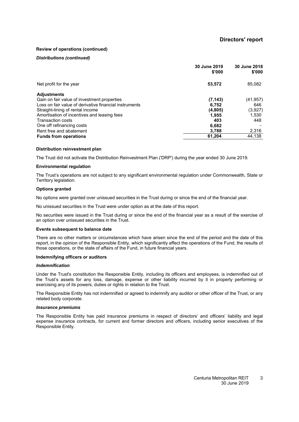#### **Review of operations (continued)**

#### *Distributions (continued)*

|                                                        | 30 June 2019<br>\$'000 | 30 June 2018<br>\$'000 |
|--------------------------------------------------------|------------------------|------------------------|
| Net profit for the year                                | 53,572                 | 85,082                 |
| <b>Adjustments</b>                                     |                        |                        |
| Gain on fair value of investment properties            | (7, 143)               | (41, 957)              |
| Loss on fair value of derivative financial instruments | 6,752                  | 646                    |
| Straight-lining of rental income                       | (4,805)                | (3, 927)               |
| Amortisation of incentives and leasing fees            | 1.955                  | 1,530                  |
| Transaction costs                                      | 403                    | 448                    |
| One off refinancing costs                              | 6,682                  |                        |
| Rent free and abatement                                | 3,788                  | 2,316                  |
| <b>Funds from operations</b>                           | 61,204                 | 44,138                 |

#### **Distribution reinvestment plan**

The Trust did not activate the Distribution Reinvestment Plan ('DRP') during the year ended 30 June 2019.

#### **Environmental regulation**

The Trust's operations are not subject to any significant environmental regulation under Commonwealth, State or Territory legislation.

#### **Options granted**

No options were granted over unissued securities in the Trust during or since the end of the financial year.

No unissued securities in the Trust were under option as at the date of this report.

No securities were issued in the Trust during or since the end of the financial year as a result of the exercise of an option over unissued securities in the Trust.

#### **Events subsequent to balance date**

There are no other matters or circumstances which have arisen since the end of the period and the date of this report, in the opinion of the Responsible Entity, which significantly affect the operations of the Fund, the results of those operations, or the state of affairs of the Fund, in future financial years.

#### **Indemnifying officers or auditors**

#### *Indemnification*

Under the Trust's constitution the Responsible Entity, including its officers and employees, is indemnified out of the Trust's assets for any loss, damage, expense or other liability incurred by it in properly performing or exercising any of its powers, duties or rights in relation to the Trust.

The Responsible Entity has not indemnified or agreed to indemnify any auditor or other officer of the Trust, or any related body corporate.

#### *Insurance premiums*

The Responsible Entity has paid insurance premiums in respect of directors' and officers' liability and legal expense insurance contracts, for current and former directors and officers, including senior executives of the Responsible Entity.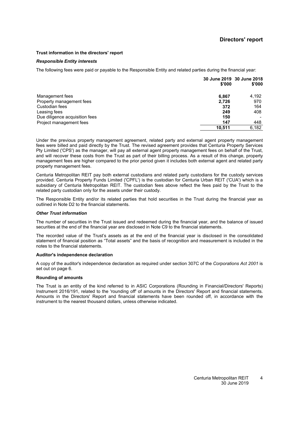#### **Trust information in the directors' report**

#### *Responsible Entity interests*

The following fees were paid or payable to the Responsible Entity and related parties during the financial year:

|                                | \$'000 | 30 June 2019 30 June 2018<br>\$'000 |
|--------------------------------|--------|-------------------------------------|
| Management fees                | 6,867  | 4,192                               |
| Property management fees       | 2,726  | 970                                 |
| Custodian fees                 | 372    | 164                                 |
| Leasing fees                   | 249    | 408                                 |
| Due diligence acquisition fees | 150    |                                     |
| Project management fees        | 147    | 448                                 |
|                                | 10.511 | 6.182                               |

Under the previous property management agreement, related party and external agent property management fees were billed and paid directly by the Trust. The revised agreement provides that Centuria Property Services Pty Limited ('CPS') as the manager, will pay all external agent property management fees on behalf of the Trust, and will recover these costs from the Trust as part of their billing process. As a result of this change, property management fees are higher compared to the prior period given it includes both external agent and related party property management fees.

Centuria Metropolitan REIT pay both external custodians and related party custodians for the custody services provided. Centuria Property Funds Limited ('CPFL') is the custodian for Centuria Urban REIT ('CUA') which is a subsidiary of Centuria Metropolitan REIT. The custodian fees above reflect the fees paid by the Trust to the related party custodian only for the assets under their custody.

The Responsible Entity and/or its related parties that hold securities in the Trust during the financial year as outlined in Note [D2](#page-29-0) to the financial statements.

#### *Other Trust information*

The number of securities in the Trust issued and redeemed during the financial year, and the balance of issued securities at the end of the financial year are disclosed in Note [C9](#page-27-0) to the financial statements.

The recorded value of the Trust's assets as at the end of the financial year is disclosed in the consolidated statement of financial position as "Total assets" and the basis of recognition and measurement is included in the notes to the financial statements.

#### <span id="page-5-0"></span>**Auditor's independence declaration**

A copy of the auditor's independence declaration as required under section 307C of the *Corporations Act 2001* is set out on page [6.](#page-5-0)

#### **Rounding of amounts**

The Trust is an entity of the kind referred to in ASIC Corporations (Rounding in Financial/Directors' Reports) Instrument 2016/191, related to the 'rounding off' of amounts in the Directors' Report and financial statements. Amounts in the Directors' Report and financial statements have been rounded off, in accordance with the instrument to the nearest thousand dollars, unless otherwise indicated.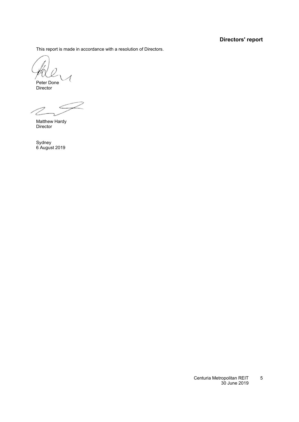### **Directors' report**

This report is made in accordance with a resolution of Directors.

Peter Done Director

7

Matthew Hardy Director

Sydney 6 August 2019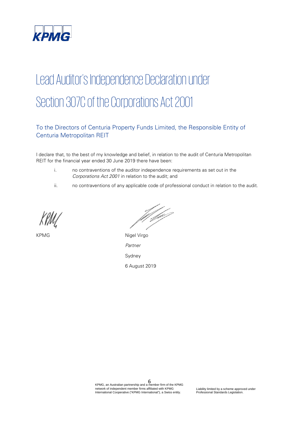

# Lead Auditor's Independence Declaration under Section 307C of the Corporations Act 2001

### To the Directors of Centuria Property Funds Limited, the Responsible Entity of Centuria Metropolitan REIT

I declare that, to the best of my knowledge and belief, in relation to the audit of Centuria Metropolitan REIT for the financial year ended 30 June 2019 there have been:

- i. no contraventions of the auditor independence requirements as set out in the Corporations Act 2001 in relation to the audit; and
- ii. no contraventions of any applicable code of professional conduct in relation to the audit.

/////

KPMG Nigel Virgo Partner Sydney 6 August 2019

6 KPMG, an Australian partnership and a member firm of the KPMG network of independent member firms affiliated with KPMG International Cooperative ("KPMG International"), a Swiss entity.

Liability limited by a scheme approved under Professional Standards Legislation.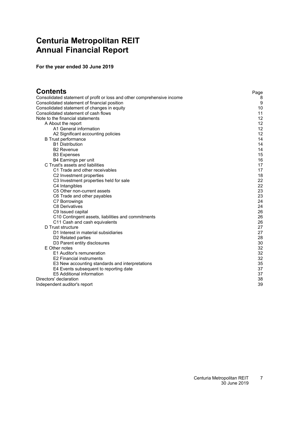### <span id="page-8-0"></span>**Centuria Metropolitan REIT Annual Financial Report**

**For the year ended 30 June 2019**

| Contents                                                                | Page |
|-------------------------------------------------------------------------|------|
| Consolidated statement of profit or loss and other comprehensive income | 8    |
| Consolidated statement of financial position                            | 9    |
| Consolidated statement of changes in equity                             | 10   |
| Consolidated statement of cash flows                                    | 11   |
| Note to the financial statements                                        | 12   |
| A About the report                                                      | 12   |
| A1 General information                                                  | 12   |
| A2 Significant accounting policies                                      | 12   |
| <b>B</b> Trust performance                                              | 14   |
| <b>B1 Distribution</b>                                                  | 14   |
| <b>B2 Revenue</b>                                                       | 14   |
| <b>B3 Expenses</b>                                                      | 15   |
| B4 Earnings per unit                                                    | 16   |
| C Trust's assets and liabilities                                        | 17   |
| C1 Trade and other receivables                                          | 17   |
| C2 Investment properties                                                | 18   |
| C3 Investment properties held for sale                                  | 22   |
| C4 Intangibles                                                          | 22   |
| C5 Other non-current assets                                             | 23   |
| C6 Trade and other payables                                             | 23   |
| C7 Borrowings                                                           | 24   |
| <b>C8 Derivatives</b>                                                   | 24   |
| C9 Issued capital                                                       | 26   |
| C10 Contingent assets, liabilities and commitments                      | 26   |
| C11 Cash and cash equivalents                                           | 26   |
| D Trust structure                                                       | 27   |
| D1 Interest in material subsidiaries                                    | 27   |
| D2 Related parties                                                      | 28   |
| D3 Parent entity disclosures                                            | 30   |
| E Other notes                                                           | 32   |
| E1 Auditor's remuneration                                               | 32   |
| <b>E2 Financial instruments</b>                                         | 32   |
| E3 New accounting standards and interpretations                         | 35   |
| E4 Events subsequent to reporting date                                  | 37   |
| E5 Additional information                                               | 37   |
| Directors' declaration                                                  | 38   |
| Independent auditor's report                                            | 39   |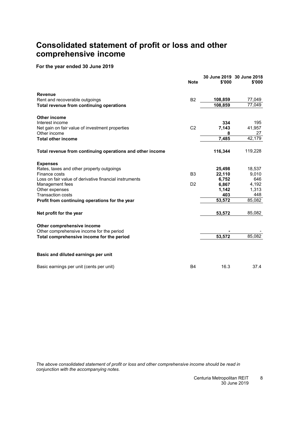### <span id="page-9-0"></span>**Consolidated statement of profit or loss and other comprehensive income**

#### **For the year ended 30 June 2019**

|                                                           | <b>Note</b>    | \$'000  | 30 June 2019 30 June 2018<br>\$'000 |
|-----------------------------------------------------------|----------------|---------|-------------------------------------|
| <b>Revenue</b>                                            |                |         |                                     |
| Rent and recoverable outgoings                            | <b>B2</b>      | 108,859 | 77,049                              |
| Total revenue from continuing operations                  |                | 108,859 | 77,049                              |
| <b>Other income</b>                                       |                |         |                                     |
| Interest income                                           |                | 334     | 195                                 |
| Net gain on fair value of investment properties           | C <sub>2</sub> | 7,143   | 41,957                              |
| Other income                                              |                | 8       | 27                                  |
| <b>Total other income</b>                                 |                | 7,485   | 42,179                              |
| Total revenue from continuing operations and other income |                | 116,344 | 119,228                             |
| <b>Expenses</b>                                           |                |         |                                     |
| Rates, taxes and other property outgoings                 |                | 25,498  | 18,537                              |
| Finance costs                                             | B <sub>3</sub> | 22,110  | 9,010                               |
| Loss on fair value of derivative financial instruments    |                | 6,752   | 646                                 |
| Management fees                                           | D <sub>2</sub> | 6,867   | 4,192                               |
| Other expenses                                            |                | 1,142   | 1,313                               |
| <b>Transaction costs</b>                                  |                | 403     | 448                                 |
| Profit from continuing operations for the year            |                | 53,572  | 85,082                              |
| Net profit for the year                                   |                | 53,572  | 85,082                              |
| Other comprehensive income                                |                |         |                                     |
| Other comprehensive income for the period                 |                |         |                                     |
| Total comprehensive income for the period                 |                | 53,572  | 85,082                              |
| Basic and diluted earnings per unit                       |                |         |                                     |
| Basic earnings per unit (cents per unit)                  | <b>B4</b>      | 16.3    | 37.4                                |

*The above consolidated statement of profit or loss and other comprehensive income should be read in conjunction with the accompanying notes.*

> Centuria Metropolitan REIT 30 June 2019 8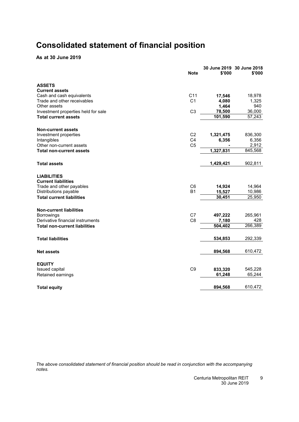### <span id="page-10-0"></span>**Consolidated statement of financial position**

#### **As at 30 June 2019**

|                                      | <b>Note</b>     | \$'000    | 30 June 2019 30 June 2018<br>\$'000 |
|--------------------------------------|-----------------|-----------|-------------------------------------|
| <b>ASSETS</b>                        |                 |           |                                     |
| <b>Current assets</b>                |                 |           |                                     |
| Cash and cash equivalents            | C <sub>11</sub> | 17,546    | 18,978                              |
| Trade and other receivables          | C <sub>1</sub>  | 4,080     | 1,325                               |
| Other assets                         |                 | 1,464     | 940                                 |
| Investment properties held for sale  | C <sub>3</sub>  | 78,500    | 36,000                              |
| <b>Total current assets</b>          |                 | 101,590   | 57,243                              |
| <b>Non-current assets</b>            |                 |           |                                     |
| Investment properties                | C <sub>2</sub>  | 1,321,475 | 836,300                             |
| Intangibles                          | C <sub>4</sub>  | 6,356     | 6,356                               |
| Other non-current assets             | C <sub>5</sub>  |           | 2,912                               |
| <b>Total non-current assets</b>      |                 | 1,327,831 | 845,568                             |
| <b>Total assets</b>                  |                 | 1,429,421 | 902,811                             |
| <b>LIABILITIES</b>                   |                 |           |                                     |
| <b>Current liabilities</b>           |                 |           |                                     |
| Trade and other payables             | C <sub>6</sub>  | 14,924    | 14,964                              |
| Distributions payable                | <b>B1</b>       | 15,527    | 10,986                              |
| <b>Total current liabilities</b>     |                 | 30,451    | 25,950                              |
| <b>Non-current liabilities</b>       |                 |           |                                     |
| Borrowings                           | C7              | 497,222   | 265,961                             |
| Derivative financial instruments     | C <sub>8</sub>  | 7,180     | 428                                 |
| <b>Total non-current liabilities</b> |                 | 504,402   | 266,389                             |
| <b>Total liabilities</b>             |                 | 534,853   | 292,339                             |
| <b>Net assets</b>                    |                 | 894,568   | 610,472                             |
| <b>EQUITY</b>                        |                 |           |                                     |
| Issued capital                       | C <sub>9</sub>  | 833,320   | 545,228                             |
| Retained earnings                    |                 | 61,248    | 65,244                              |
|                                      |                 |           |                                     |
| <b>Total equity</b>                  |                 | 894,568   | 610,472                             |

*The above consolidated statement of financial position should be read in conjunction with the accompanying notes.*

> Centuria Metropolitan REIT 30 June 2019 9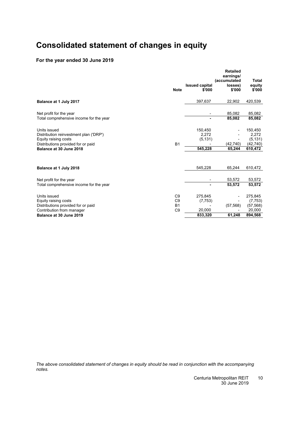### <span id="page-11-0"></span>**Consolidated statement of changes in equity**

### **For the year ended 30 June 2019**

|                                                                                                                                                 | <b>Note</b>                                                     | <b>Issued capital</b><br>\$'000          | <b>Retailed</b><br>earnings/<br>(accumulated<br>losses)<br>\$'000 | Total<br>equity<br>\$'000                             |
|-------------------------------------------------------------------------------------------------------------------------------------------------|-----------------------------------------------------------------|------------------------------------------|-------------------------------------------------------------------|-------------------------------------------------------|
| Balance at 1 July 2017                                                                                                                          |                                                                 | 397,637                                  | 22,902                                                            | 420,539                                               |
| Net profit for the year<br>Total comprehensive income for the year                                                                              |                                                                 | ۰                                        | 85,082<br>85,082                                                  | 85,082<br>85,082                                      |
| Units issued<br>Distribution reinvestment plan ('DRP')<br>Equity raising costs<br>Distributions provided for or paid<br>Balance at 30 June 2018 | B <sub>1</sub>                                                  | 150,450<br>2,272<br>(5, 131)<br>545,228  | (42, 740)<br>65,244                                               | 150,450<br>2,272<br>(5, 131)<br>(42, 740)<br>610,472  |
| Balance at 1 July 2018                                                                                                                          |                                                                 | 545,228                                  | 65,244                                                            | 610,472                                               |
| Net profit for the year<br>Total comprehensive income for the year                                                                              |                                                                 | ۰                                        | 53,572<br>53,572                                                  | 53,572<br>53,572                                      |
| Units issued<br>Equity raising costs<br>Distributions provided for or paid<br>Contribution from manager<br>Balance at 30 June 2019              | C <sub>9</sub><br>C <sub>9</sub><br><b>B1</b><br>C <sub>9</sub> | 275,845<br>(7, 753)<br>20.000<br>833,320 | (57, 568)<br>61,248                                               | 275,845<br>(7, 753)<br>(57, 568)<br>20,000<br>894,568 |

*The above consolidated statement of changes in equity should be read in conjunction with the accompanying notes.*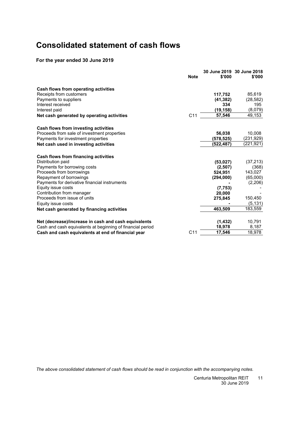### <span id="page-12-0"></span>**Consolidated statement of cash flows**

### **For the year ended 30 June 2019**

|                                                            | <b>Note</b>     | \$'000    | 30 June 2019 30 June 2018<br>\$'000 |
|------------------------------------------------------------|-----------------|-----------|-------------------------------------|
| Cash flows from operating activities                       |                 |           |                                     |
| Receipts from customers                                    |                 | 117,752   | 85,619                              |
| Payments to suppliers                                      |                 | (41, 382) | (28, 582)                           |
| Interest received                                          |                 | 334       | 195                                 |
| Interest paid                                              |                 | (19,158)  | (8,079)                             |
| Net cash generated by operating activities                 | C <sub>11</sub> | 57,546    | 49,153                              |
| Cash flows from investing activities                       |                 |           |                                     |
| Proceeds from sale of investment properties                |                 | 56,038    | 10,008                              |
| Payments for investment properties                         |                 | (578,525) | (231,929)                           |
| Net cash used in investing activities                      |                 | (522,487) | (221, 921)                          |
| Cash flows from financing activities                       |                 |           |                                     |
| Distribution paid                                          |                 | (53, 027) | (37, 213)                           |
| Payments for borrowing costs                               |                 | (2,507)   | (368)                               |
| Proceeds from borrowings                                   |                 | 524,951   | 143,027                             |
| Repayment of borrowings                                    |                 | (294,000) | (65,000)                            |
| Payments for derivative financial instruments              |                 |           | (2,206)                             |
| Equity issue costs                                         |                 | (7, 753)  |                                     |
| Contribution from manager                                  |                 | 20,000    |                                     |
| Proceeds from issue of units                               |                 | 275,845   | 150,450                             |
| Equity issue costs                                         |                 |           | (5, 131)                            |
| Net cash generated by financing activities                 |                 | 463,509   | 183,559                             |
| Net (decrease)/increase in cash and cash equivalents       |                 | (1, 432)  | 10,791                              |
| Cash and cash equivalents at beginning of financial period |                 | 18,978    | 8,187                               |
| Cash and cash equivalents at end of financial year         | C <sub>11</sub> | 17.546    | 18,978                              |

*The above consolidated statement of cash flows should be read in conjunction with the accompanying notes.*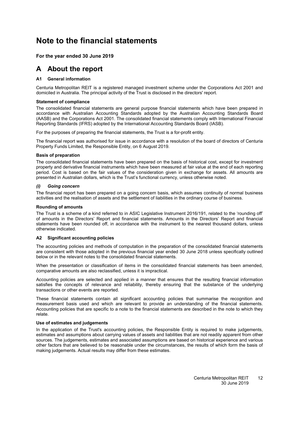### <span id="page-13-4"></span><span id="page-13-0"></span>**Note to the financial statements**

#### <span id="page-13-1"></span>**For the year ended 30 June 2019**

### <span id="page-13-2"></span>**A About the report**

#### **[A1](#page-13-2) General information**

Centuria Metropolitan REIT is a registered managed investment scheme under the Corporations Act 2001 and domiciled in Australia. The principal activity of the Trust is disclosed in the directors' report.

#### **Statement of compliance**

The consolidated financial statements are general purpose financial statements which have been prepared in accordance with Australian Accounting Standards adopted by the Australian Accounting Standards Board (AASB) and the Corporations Act 2001. The consolidated financial statements comply with International Financial Reporting Standards (IFRS) adopted by the International Accounting Standards Board (IASB).

For the purposes of preparing the financial statements, the Trust is a for-profit entity.

The financial report was authorised for issue in accordance with a resolution of the board of directors of Centuria Property Funds Limited, the Responsible Entity, on 6 August 2019.

#### **Basis of preparation**

The consolidated financial statements have been prepared on the basis of historical cost, except for investment property and derivative financial instruments which have been measured at fair value at the end of each reporting period. Cost is based on the fair values of the consideration given in exchange for assets. All amounts are presented in Australian dollars, which is the Trust's functional currency, unless otherwise noted.

#### *(i) Going concern*

The financial report has been prepared on a going concern basis, which assumes continuity of normal business activities and the realisation of assets and the settlement of liabilities in the ordinary course of business.

#### **Rounding of amounts**

The Trust is a scheme of a kind referred to in ASIC Legislative Instrument 2016/191, related to the 'rounding off' of amounts in the Directors' Report and financial statements. Amounts in the Directors' Report and financial statements have been rounded off, in accordance with the instrument to the nearest thousand dollars, unless otherwise indicated.

#### <span id="page-13-3"></span>**[A2](#page-13-3) Significant accounting policies**

The accounting policies and methods of computation in the preparation of the consolidated financial statements are consistent with those adopted in the previous financial year ended 30 June 2018 unless specifically outlined below or in the relevant notes to the consolidated financial statements.

When the presentation or classification of items in the consolidated financial statements has been amended, comparative amounts are also reclassified, unless it is impractical.

Accounting policies are selected and applied in a manner that ensures that the resulting financial information satisfies the concepts of relevance and reliability, thereby ensuring that the substance of the underlying transactions or other events are reported.

These financial statements contain all significant accounting policies that summarise the recognition and measurement basis used and which are relevant to provide an understanding of the financial statements. Accounting policies that are specific to a note to the financial statements are described in the note to which they relate.

#### **Use of estimates and judgements**

In the application of the Trust's accounting policies, the Responsible Entity is required to make judgements, estimates and assumptions about carrying values of assets and liabilities that are not readily apparent from other sources. The judgements, estimates and associated assumptions are based on historical experience and various other factors that are believed to be reasonable under the circumstances, the results of which form the basis of making judgements. Actual results may differ from these estimates.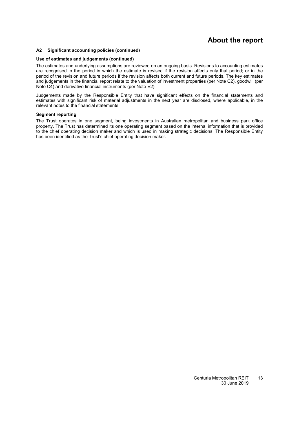### **About the report**

#### **[A2](#page-13-3) Significant accounting policies (continued)**

#### **Use of estimates and judgements (continued)**

The estimates and underlying assumptions are reviewed on an ongoing basis. Revisions to accounting estimates are recognised in the period in which the estimate is revised if the revision affects only that period; or in the period of the revision and future periods if the revision affects both current and future periods. The key estimates and judgements in the financial report relate to the valuation of investment properties (per Note [C2\)](#page-13-0), goodwill (per Note [C4\)](#page-23-1) and derivative financial instruments (per Note [E2\)](#page-33-2).

Judgements made by the Responsible Entity that have significant effects on the financial statements and estimates with significant risk of material adjustments in the next year are disclosed, where applicable, in the relevant notes to the financial statements.

#### **Segment reporting**

The Trust operates in one segment, being investments in Australian metropolitan and business park office property. The Trust has determined its one operating segment based on the internal information that is provided to the chief operating decision maker and which is used in making strategic decisions. The Responsible Entity has been identified as the Trust's chief operating decision maker.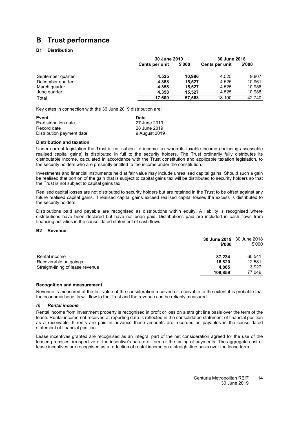### <span id="page-15-1"></span><span id="page-15-0"></span>**B Trust performance**

#### **[B1](#page-15-1) Distribution**

|                   |                | 30 June 2019 |                | 30 June 2018 |
|-------------------|----------------|--------------|----------------|--------------|
|                   | Cents per unit | \$'000       | Cents per unit | \$'000       |
| September quarter | 4.525          | 10.986       | 4.525          | 9.807        |
| December quarter  | 4.358          | 15.527       | 4.525          | 10.961       |
| March quarter     | 4.358          | 15.527       | 4.525          | 10.986       |
| June quarter      | 4.358          | 15.527       | 4.525          | 10,986       |
| Total             | 17.600         | 57.568       | 18.100         | 42,740       |

Key dates in connection with the 30 June 2019 distribution are:

| Event                     | Date          |
|---------------------------|---------------|
| Ex-distribution date      | 27 June 2019  |
| Record date               | 28 June 2019  |
| Distribution payment date | 9 August 2019 |

#### **Distribution and taxation**

Under current legislation the Trust is not subject to income tax when its taxable income (including assessable realised capital gains) is distributed in full to the security holders. The Trust ordinarily fully distributes its distributable income, calculated in accordance with the Trust constitution and applicable taxation legislation, to the security holders who are presently entitled to the income under the constitution.

Investments and financial instruments held at fair value may include unrealised capital gains. Should such a gain be realised that portion of the gain that is subject to capital gains tax will be distributed to security holders so that the Trust is not subject to capital gains tax.

Realised capital losses are not distributed to security holders but are retained in the Trust to be offset against any future realised capital gains. If realised capital gains exceed realised capital losses the excess is distributed to the security holders.

Distributions paid and payable are recognised as distributions within equity. A liability is recognised where distributions have been declared but have not been paid. Distributions paid are included in cash flows from financing activities in the consolidated statement of cash flows.

#### <span id="page-15-2"></span>**[B2](#page-15-2) Revenue**

|                                  | 30 June 2019 30 June 2018<br>\$'000 | \$'000 |
|----------------------------------|-------------------------------------|--------|
| Rental income                    | 87.234                              | 60.541 |
| Recoverable outgoings            | 16.820                              | 12.581 |
| Straight-lining of lease revenue | 4,805                               | 3,927  |
|                                  | 108.859                             | 77.049 |

#### **Recognition and measurement**

Revenue is measured at the fair value of the consideration received or receivable to the extent it is probable that the economic benefits will flow to the Trust and the revenue can be reliably measured.

#### *(i) Rental income*

Rental income from investment property is recognised in profit or loss on a straight line basis over the term of the lease. Rental income not received at reporting date is reflected in the consolidated statement of financial position as a receivable. If rents are paid in advance these amounts are recorded as payables in the consolidated statement of financial position.

Lease incentives granted are recognised as an integral part of the net consideration agreed for the use of the leased premises, irrespective of the incentive's nature or form or the timing of payments. The aggregate cost of lease incentives are recognised as a reduction of rental income on a straight-line basis over the lease term.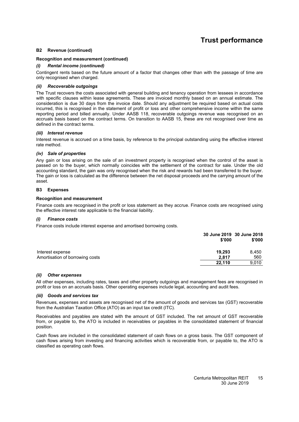### **Trust performance**

#### **[B2](#page-15-2) Revenue (continued)**

#### **Recognition and measurement (continued)**

#### *(i) Rental income (continued)*

Contingent rents based on the future amount of a factor that changes other than with the passage of time are only recognised when charged.

#### *(ii) Recoverable outgoings*

The Trust recovers the costs associated with general building and tenancy operation from lessees in accordance with specific clauses within lease agreements. These are invoiced monthly based on an annual estimate. The consideration is due 30 days from the invoice date. Should any adjustment be required based on actual costs incurred, this is recognised in the statement of profit or loss and other comprehensive income within the same reporting period and billed annually. Under AASB 118, recoverable outgoings revenue was recognised on an accruals basis based on the contract terms. On transition to AASB 15, these are not recognised over time as defined in the contract terms.

#### *(iii) Interest revenue*

Interest revenue is accrued on a time basis, by reference to the principal outstanding using the effective interest rate method.

#### *(iv) Sale of properties*

Any gain or loss arising on the sale of an investment property is recognised when the control of the asset is passed on to the buyer, which normally coincides with the settlement of the contract for sale. Under the old accounting standard, the gain was only recognised when the risk and rewards had been transferred to the buyer. The gain or loss is calculated as the difference between the net disposal proceeds and the carrying amount of the asset.

#### <span id="page-16-0"></span>**[B3](#page-16-0) Expenses**

#### **Recognition and measurement**

Finance costs are recognised in the profit or loss statement as they accrue. Finance costs are recognised using the effective interest rate applicable to the financial liability.

#### *(i) Finance costs*

Finance costs include interest expense and amortised borrowing costs.

|                                 | 30 June 2019 30 June 2018<br>\$'000 | \$'000 |
|---------------------------------|-------------------------------------|--------|
| Interest expense                | 19.293                              | 8.450  |
| Amortisation of borrowing costs | 2.817                               | 560    |
|                                 | 22.110                              | 9.010  |

#### *(ii) Other expenses*

All other expenses, including rates, taxes and other property outgoings and management fees are recognised in profit or loss on an accruals basis. Other operating expenses include legal, accounting and audit fees.

#### *(iii) Goods and services tax*

Revenues, expenses and assets are recognised net of the amount of goods and services tax (GST) recoverable from the Australian Taxation Office (ATO) as an input tax credit (ITC).

Receivables and payables are stated with the amount of GST included. The net amount of GST recoverable from, or payable to, the ATO is included in receivables or payables in the consolidated statement of financial position.

Cash flows are included in the consolidated statement of cash flows on a gross basis. The GST component of cash flows arising from investing and financing activities which is recoverable from, or payable to, the ATO is classified as operating cash flows.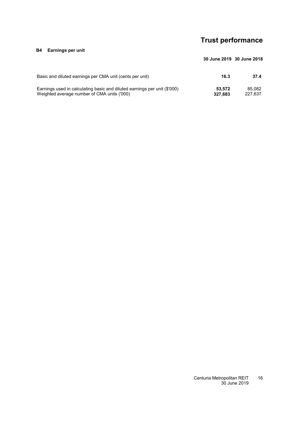### **Trust performance**

#### <span id="page-17-0"></span>**[B4](#page-17-0) Earnings per unit**

| Basic and diluted earnings per CMA unit (cents per unit)                  | 16.3    | 37.4    |
|---------------------------------------------------------------------------|---------|---------|
| Earnings used in calculating basic and diluted earnings per unit (\$'000) | 53.572  | 85.082  |
| Weighted average number of CMA units ('000)                               | 327.683 | 227.637 |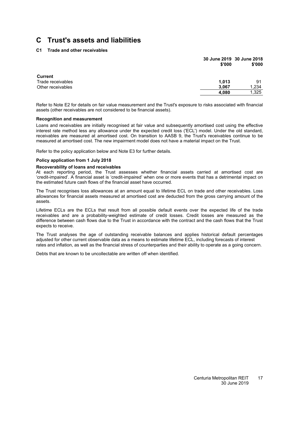#### <span id="page-18-0"></span>**[C1](#page-18-0) Trade and other receivables**

|                                     | 30 June 2019 30 June 2018<br>\$'000 | \$'000 |
|-------------------------------------|-------------------------------------|--------|
| <b>Current</b><br>Trade receivables |                                     | 91     |
|                                     | 1.013                               |        |
| Other receivables                   | 3.067                               | 1.234  |
|                                     | 4.080                               | 1,325  |

Refer to Note [E2](#page-33-2) for details on fair value measurement and the Trust's exposure to risks associated with financial assets (other receivables are not considered to be financial assets).

#### **Recognition and measurement**

Loans and receivables are initially recognised at fair value and subsequently amortised cost using the effective interest rate method less any allowance under the expected credit loss ('ECL') model. Under the old standard, receivables are measured at amortised cost. On transition to AASB 9, the Trust's receivables continue to be measured at amortised cost. The new impairment model does not have a material impact on the Trust.

Refer to the policy application below and Note [E3](#page-36-0) for further details.

#### **Policy application from 1 July 2018**

#### **Recoverability of loans and receivables**

At each reporting period, the Trust assesses whether financial assets carried at amortised cost are 'credit-impaired'. A financial asset is 'credit-impaired' when one or more events that has a detrimental impact on the estimated future cash flows of the financial asset have occurred.

The Trust recognises loss allowances at an amount equal to lifetime ECL on trade and other receivables. Loss allowances for financial assets measured at amortised cost are deducted from the gross carrying amount of the assets.

Lifetime ECLs are the ECLs that result from all possible default events over the expected life of the trade receivables and are a probability-weighted estimate of credit losses. Credit losses are measured as the difference between cash flows due to the Trust in accordance with the contract and the cash flows that the Trust expects to receive.

The Trust analyses the age of outstanding receivable balances and applies historical default percentages adjusted for other current observable data as a means to estimate lifetime ECL, including forecasts of interest rates and inflation, as well as the financial stress of counterparties and their ability to operate as a going concern.

Debts that are known to be uncollectable are written off when identified.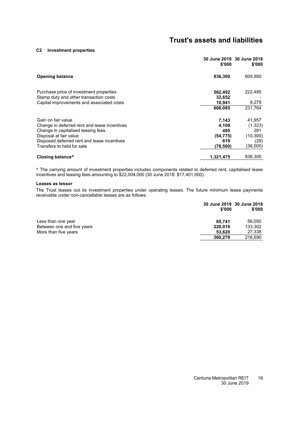#### **[C2](#page-13-0) Investment properties**

| \$'000    | 30 June 2019 30 June 2018<br>\$'000 |
|-----------|-------------------------------------|
| 836,300   | 609,950                             |
| 562,492   | 222,485                             |
| 10,941    | 9,279                               |
| 606,085   | 231.764                             |
| 7,143     | 41,957                              |
| 4,108     | (1,323)                             |
| 495       | 281                                 |
|           | (10, 300)                           |
|           | (29)                                |
| (78, 500) | (36,000)                            |
| 1,321,475 | 836,300                             |
|           | 32,652<br>(54, 775)<br>619          |

^ The carrying amount of investment properties includes components related to deferred rent, capitalised lease incentives and leasing fees amounting to \$22,004,000 (30 June 2018: \$17,401,000).

#### **Leases as lessor**

The Trust leases out its investment properties under operating leases. The future minimum lease payments receivable under non-cancellable leases are as follows:

|                            | \$'000  | 30 June 2019 30 June 2018<br>\$'000 |
|----------------------------|---------|-------------------------------------|
| Less than one year         | 85.741  | 56.050                              |
| Between one and five years | 220,918 | 133,302                             |
| More than five years       | 53.620  | 27,338                              |
|                            | 360,279 | 216.690                             |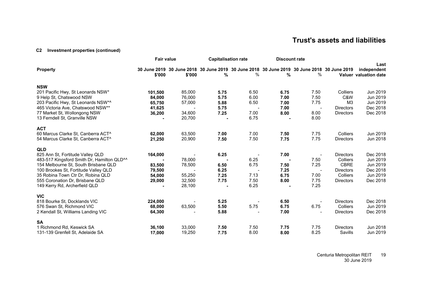#### **[C2](#page-13-4) Investment properties (continued)**

|                                                                                                                                                                                                                                                                                                   | <b>Fair value</b>                               |                                                | <b>Capitalisation rate</b>           |                                                                                                    | <b>Discount rate</b>                 |                                      |                                                                                                 |                                                                      |
|---------------------------------------------------------------------------------------------------------------------------------------------------------------------------------------------------------------------------------------------------------------------------------------------------|-------------------------------------------------|------------------------------------------------|--------------------------------------|----------------------------------------------------------------------------------------------------|--------------------------------------|--------------------------------------|-------------------------------------------------------------------------------------------------|----------------------------------------------------------------------|
| <b>Property</b>                                                                                                                                                                                                                                                                                   | \$'000                                          | \$'000                                         | %                                    | 30 June 2019 30 June 2018 30 June 2019 30 June 2018 30 June 2019 30 June 2018 30 June 2019<br>$\%$ | %                                    | $\%$                                 |                                                                                                 | Last<br>independent<br>Valuer valuation date                         |
| <b>NSW</b><br>201 Pacific Hwy, St Leonards NSW*<br>9 Help St, Chatswood NSW<br>203 Pacific Hwy, St Leonards NSW*^<br>465 Victoria Ave, Chatswood NSW**<br>77 Market St, Wollongong NSW<br>13 Ferndell St, Granville NSW                                                                           | 101,500<br>84,000<br>65,750<br>41,625<br>36,200 | 85,000<br>76,000<br>57,000<br>34,600<br>20,700 | 5.75<br>5.75<br>5.88<br>5.75<br>7.25 | 6.50<br>6.00<br>6.50<br>7.00<br>6.75                                                               | 6.75<br>7.00<br>7.00<br>7.00<br>8.00 | 7.50<br>7.50<br>7.75<br>8.00<br>8.00 | Colliers<br>C&W<br>M <sub>3</sub><br><b>Directors</b><br><b>Directors</b>                       | Jun 2019<br>Jun 2019<br>Jun 2019<br>Dec 2018<br>Dec 2018             |
| <b>ACT</b><br>60 Marcus Clarke St, Canberra ACT^<br>54 Marcus Clarke St, Canberra ACT^                                                                                                                                                                                                            | 62,000<br>21,250                                | 63,500<br>20,900                               | 7.00<br>7.50                         | 7.00<br>7.50                                                                                       | 7.50<br>7.75                         | 7.75<br>7.75                         | Colliers<br><b>Directors</b>                                                                    | Jun 2019<br>Jun 2018                                                 |
| <b>QLD</b><br>825 Ann St, Fortitude Valley QLD<br>483-517 Kingsford Smith Dr, Hamilton QLD <sup>^^</sup><br>154 Melbourne St, South Brisbane QLD<br>100 Brookes St, Fortitude Valley QLD<br>35 Robina Town Ctr Dr, Robina QLD<br>555 Coronation Dr, Brisbane QLD<br>149 Kerry Rd, Archerfield QLD | 164,000<br>83,500<br>79,500<br>54,000<br>29,000 | 78,000<br>78,500<br>55,250<br>32,500<br>28,100 | 6.25<br>6.50<br>6.25<br>7.25<br>7.75 | 6.25<br>6.75<br>7.13<br>7.50<br>6.25                                                               | 7.00<br>7.50<br>7.25<br>6.75<br>8.00 | 7.50<br>7.25<br>7.00<br>7.75<br>7.25 | <b>Directors</b><br>Colliers<br><b>CBRE</b><br><b>Directors</b><br>Colliers<br><b>Directors</b> | Dec 2018<br>Jun 2019<br>Jun 2019<br>Dec 2018<br>Jun 2019<br>Dec 2018 |
| <b>VIC</b><br>818 Bourke St, Docklands VIC<br>576 Swan St, Richmond VIC<br>2 Kendall St, Williams Landing VIC                                                                                                                                                                                     | 224,000<br>68,000<br>64,300                     | 63,500                                         | 5.25<br>5.50<br>5.88                 | 5.75                                                                                               | 6.50<br>6.75<br>7.00                 | 6.75                                 | <b>Directors</b><br>Colliers<br><b>Directors</b>                                                | Dec 2018<br>Jun 2019<br>Dec 2018                                     |
| <b>SA</b><br>1 Richmond Rd, Keswick SA<br>131-139 Grenfell St, Adelaide SA                                                                                                                                                                                                                        | 36,100<br>17,000                                | 33,000<br>19,250                               | 7.50<br>7.75                         | 7.50<br>8.00                                                                                       | 7.75<br>8.00                         | 7.75<br>8.25                         | <b>Directors</b><br>Savills                                                                     | Jun 2018<br>Jun 2019                                                 |

Centuria Metropolitan REIT 30 June 2019 19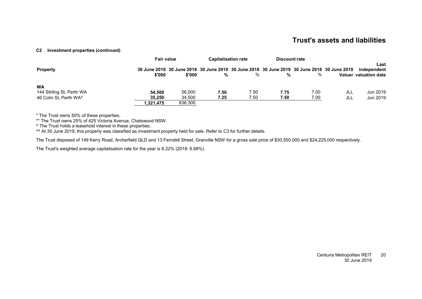#### **[C2](#page-13-4) Investment properties (continued)**

|                           | <b>Fair value</b> |                                                                                                      | <b>Capitalisation rate</b> |      | <b>Discount rate</b> |      |     |                                              |
|---------------------------|-------------------|------------------------------------------------------------------------------------------------------|----------------------------|------|----------------------|------|-----|----------------------------------------------|
| <b>Property</b>           | \$'000            | 30 June 2019 30 June 2018 30 June 2019 30 June 2018 30 June 2019 30 June 2018 30 June 2019<br>\$'000 | %                          | %    | %                    | %    |     | Last<br>independent<br>Valuer valuation date |
| <b>WA</b>                 |                   |                                                                                                      |                            |      |                      |      |     |                                              |
| 144 Stirling St, Perth WA | 54.500            | 56.000                                                                                               | 7.50                       | 7.50 | 7.75                 | 7.00 | JLL | Jun 2019                                     |
| 46 Colin St. Perth WA^    | 35.250            | 34.500                                                                                               | 7.25                       | 7.50 | 7.50                 | 7.00 | JLL | Jun 2019                                     |
|                           | 1.321.475         | 836.300                                                                                              |                            |      |                      |      |     |                                              |

\* The Trust owns 50% of these properties.

\*\*\* The Trust owns 25% of 425 Victoria Avenue, Chatswood NSW.

^ The Trust holds a leasehold interest in these properties.

^^ At 30 June 2019, this property was classified as investment property held for sale. Refer to [C3](#page-23-2) for further details.

The Trust disposed of 149 Kerry Road, Archerfield QLD and 13 Ferndell Street, Granville NSW for a gross sale price of \$30,550,000 and \$24,225,000 respectively.

The Trust's weighted average capitalisation rate for the year is 6.22% (2018: 6.68%).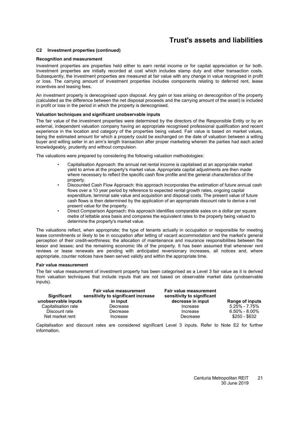#### **[C2](#page-13-0) Investment properties (continued)**

#### **Recognition and measurement**

Investment properties are properties held either to earn rental income or for capital appreciation or for both. Investment properties are initially recorded at cost which includes stamp duty and other transaction costs. Subsequently, the investment properties are measured at fair value with any change in value recognised in profit or loss. The carrying amount of investment properties includes components relating to deferred rent, lease incentives and leasing fees.

An investment property is derecognised upon disposal. Any gain or loss arising on derecognition of the property (calculated as the difference between the net disposal proceeds and the carrying amount of the asset) is included in profit or loss in the period in which the property is derecognised.

#### **Valuation techniques and significant unobservable inputs**

The fair value of the investment properties were determined by the directors of the Responsible Entity or by an external, independent valuation company having an appropriate recognised professional qualification and recent experience in the location and category of the properties being valued. Fair value is based on market values, being the estimated amount for which a property could be exchanged on the date of valuation between a willing buyer and willing seller in an arm's length transaction after proper marketing wherein the parties had each acted knowledgeably, prudently and without compulsion.

The valuations were prepared by considering the following valuation methodologies:

- Capitalisation Approach: the annual net rental income is capitalised at an appropriate market yield to arrive at the property's market value. Appropriate capital adjustments are then made where necessary to reflect the specific cash flow profile and the general characteristics of the property.
- Discounted Cash Flow Approach: this approach incorporates the estimation of future annual cash flows over a 10 year period by reference to expected rental growth rates, ongoing capital expenditure, terminal sale value and acquisition and disposal costs. The present value of future cash flows is then determined by the application of an appropriate discount rate to derive a net present value for the property.
- Direct Comparison Approach: this approach identifies comparable sales on a dollar per square metre of lettable area basis and compares the equivalent rates to the property being valued to determine the property's market value.

The valuations reflect, when appropriate; the type of tenants actually in occupation or responsible for meeting lease commitments or likely to be in occupation after letting of vacant accommodation and the market's general perception of their credit-worthiness; the allocation of maintenance and insurance responsibilities between the lessor and lessee; and the remaining economic life of the property. It has been assumed that whenever rent reviews or lease renewals are pending with anticipated reversionary increases, all notices and, where appropriate, counter notices have been served validly and within the appropriate time.

#### **Fair value measurement**

The fair value measurement of investment property has been categorised as a Level 3 fair value as it is derived from valuation techniques that include inputs that are not based on observable market data (unobservable inputs).

| Significant<br>unobservable inputs | <b>Fair value measurement</b><br>sensitivity to significant increase<br>in input | <b>Fair value measurement</b><br>sensitivity to significant<br>decrease in input | <b>Range of inputs</b>             |
|------------------------------------|----------------------------------------------------------------------------------|----------------------------------------------------------------------------------|------------------------------------|
| Capitalisation rate                | Decrease                                                                         | Increase                                                                         | $5.25\% - 7.75\%$                  |
| Discount rate<br>Net market rent   | Decrease<br>Increase                                                             | Increase<br>Decrease                                                             | $6.50\% - 8.00\%$<br>\$250 - \$632 |

Capitalisation and discount rates are considered significant Level 3 inputs. Refer to Note [E2](#page-33-2) for further information.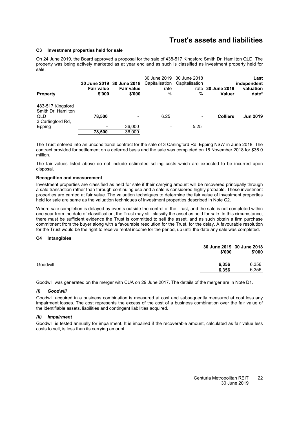#### <span id="page-23-2"></span><span id="page-23-0"></span>**[C3](#page-23-0) Investment properties held for sale**

On 24 June 2019, the Board approved a proposal for the sale of 438-517 Kingsford Smith Dr, Hamilton QLD. The property was being actively marketed as at year end and as such is classified as investment property held for sale.

|                                                |                             | 30 June 2019 30 June 2018 Capitalisation Capitalisation |                          | 30 June 2019 30 June 2018 |                                    | Last<br>independent |
|------------------------------------------------|-----------------------------|---------------------------------------------------------|--------------------------|---------------------------|------------------------------------|---------------------|
| <b>Property</b>                                | <b>Fair value</b><br>\$'000 | <b>Fair value</b><br>\$'000                             | rate<br>%                | $\%$                      | rate 30 June 2019<br><b>Valuer</b> | valuation<br>date*  |
| 483-517 Kingsford<br>Smith Dr. Hamilton<br>QLD | 78.500                      |                                                         | 6.25                     |                           | <b>Colliers</b>                    | <b>Jun 2019</b>     |
| 3 Carlingford Rd.                              |                             |                                                         |                          | $\overline{\phantom{a}}$  |                                    |                     |
| Epping                                         | ٠                           | 36,000                                                  | $\overline{\phantom{a}}$ | 5.25                      |                                    |                     |
|                                                | 78.500                      | 36,000                                                  |                          |                           |                                    |                     |

The Trust entered into an unconditional contract for the sale of 3 Carlingford Rd, Epping NSW in June 2018. The contract provided for settlement on a deferred basis and the sale was completed on 16 November 2018 for \$36.0 million.

The fair values listed above do not include estimated selling costs which are expected to be incurred upon disposal.

#### **Recognition and measurement**

Investment properties are classified as held for sale if their carrying amount will be recovered principally through a sale transaction rather than through continuing use and a sale is considered highly probable. These investment properties are carried at fair value. The valuation techniques to determine the fair value of investment properties held for sale are same as the valuation techniques of investment properties described in Note [C2.](#page-13-0)

Where sale completion is delayed by events outside the control of the Trust, and the sale is not completed within one year from the date of classification, the Trust may still classify the asset as held for sale. In this circumstance, there must be sufficient evidence the Trust is committed to sell the asset, and as such obtain a firm purchase commitment from the buyer along with a favourable resolution for the Trust, for the delay. A favourable resolution for the Trust would be the right to receive rental income for the period, up until the date any sale was completed.

#### <span id="page-23-1"></span>**[C4](#page-23-1) Intangibles**

|          | 30 June 2019 30 June 2018<br>\$'000 | \$'000 |
|----------|-------------------------------------|--------|
| Goodwill | 6.356                               | 6,356  |
|          | 6.356                               | 6,356  |

Goodwill was generated on the merger with CUA on 29 June 2017. The details of the merger are in Note [D1.](#page-28-1)

#### *(i) Goodwill*

Goodwill acquired in a business combination is measured at cost and subsequently measured at cost less any impairment losses. The cost represents the excess of the cost of a business combination over the fair value of the identifiable assets, liabilities and contingent liabilities acquired.

#### *(ii) Impairment*

Goodwill is tested annually for impairment. It is impaired if the recoverable amount, calculated as fair value less costs to sell, is less than its carrying amount.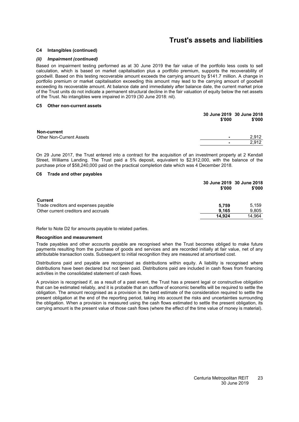#### **[C4](#page-23-1) Intangibles (continued)**

#### *(ii) Impairment (continued)*

Based on impairment testing performed as at 30 June 2019 the fair value of the portfolio less costs to sell calculation, which is based on market capitalisation plus a portfolio premium, supports the recoverability of goodwill. Based on this testing recoverable amount exceeds the carrying amount by \$141.7 million. A change in portfolio premium or market capitalisation exceeding this amount may lead to the carrying amount of goodwill exceeding its recoverable amount. At balance date and immediately after balance date, the current market price of the Trust units do not indicate a permanent structural decline in the fair valuation of equity below the net assets of the Trust. No intangibles were impaired in 2019 (30 June 2018: nil).

#### <span id="page-24-0"></span>**[C5](#page-24-0) Other non-current assets**

|                                      | 30 June 2019 30 June 2018<br>\$'000 |
|--------------------------------------|-------------------------------------|
| <b>Non-current</b>                   |                                     |
| <b>Other Non-Current Assets</b><br>٠ | 2,912                               |
| ٠                                    | 2.912                               |

<span id="page-24-1"></span>On 29 June 2017, the Trust entered into a contract for the acquisition of an investment property at 2 Kendall Street, Williams Landing. The Trust paid a 5% deposit, equivalent to \$2,912,000, with the balance of the purchase price of \$58,240,000 paid on the practical completion date which was 4 December 2018.

#### **[C6](#page-24-1) Trade and other payables**

|                                      | 30 June 2019 30 June 2018<br>\$'000 | \$'000 |
|--------------------------------------|-------------------------------------|--------|
| <b>Current</b>                       |                                     |        |
| Trade creditors and expenses payable | 5.759                               | 5.159  |
| Other current creditors and accruals | 9.165                               | 9,805  |
|                                      | 14.924                              | 14.964 |

Refer to Note [D2](#page-29-0) for amounts payable to related parties.

#### **Recognition and measurement**

Trade payables and other accounts payable are recognised when the Trust becomes obliged to make future payments resulting from the purchase of goods and services and are recorded initially at fair value, net of any attributable transaction costs. Subsequent to initial recognition they are measured at amortised cost.

Distributions paid and payable are recognised as distributions within equity. A liability is recognised where distributions have been declared but not been paid. Distributions paid are included in cash flows from financing activities in the consolidated statement of cash flows.

A provision is recognised if, as a result of a past event, the Trust has a present legal or constructive obligation that can be estimated reliably, and it is probable that an outflow of economic benefits will be required to settle the obligation. The amount recognised as a provision is the best estimate of the consideration required to settle the present obligation at the end of the reporting period, taking into account the risks and uncertainties surrounding the obligation. When a provision is measured using the cash flows estimated to settle the present obligation, its carrying amount is the present value of those cash flows (where the effect of the time value of money is material).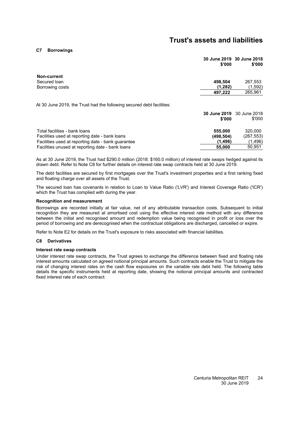#### <span id="page-25-0"></span>**[C7](#page-25-0) Borrowings**

| 30 June 2019 30 June 2018 |        |
|---------------------------|--------|
| \$'000                    | \$'000 |

| <b>Non-current</b> |         |         |
|--------------------|---------|---------|
| Secured Ioan       | 498.504 | 267,553 |
| Borrowing costs    | (1.282) | (1,592) |
|                    | 497.222 | 265,961 |
|                    |         |         |

At 30 June 2019, the Trust had the following secured debt facilities:

|                                                    | 30 June 2019 30 June 2018<br>\$'000 | \$'000     |
|----------------------------------------------------|-------------------------------------|------------|
|                                                    |                                     |            |
| Total facilities - bank loans                      | 555,000                             | 320.000    |
| Facilities used at reporting date - bank loans     | (498.504)                           | (267, 553) |
| Facilities used at reporting date - bank quarantee | (1.496)                             | (1,496)    |
| Facilities unused at reporting date - bank loans   | 55,000                              | 50.951     |

As at 30 June 2019, the Trust had \$290.0 million (2018: \$160.0 million) of interest rate swaps hedged against its drawn debt. Refer to Note [C8](#page-25-1) for further details on interest rate swap contracts held at 30 June 2019.

The debt facilities are secured by first mortgages over the Trust's investment properties and a first ranking fixed and floating charge over all assets of the Trust.

The secured loan has covenants in relation to Loan to Value Ratio ('LVR') and Interest Coverage Ratio ('ICR') which the Trust has complied with during the year.

#### **Recognition and measurement**

Borrowings are recorded initially at fair value, net of any attributable transaction costs. Subsequent to initial recognition they are measured at amortised cost using the effective interest rate method with any difference between the initial and recognised amount and redemption value being recognised in profit or loss over the period of borrowing and are derecognised when the contractual obligations are discharged, cancelled or expire.

<span id="page-25-1"></span>Refer to Note [E2](#page-33-2) for details on the Trust's exposure to risks associated with financial liabilities.

#### **[C8](#page-25-1) Derivatives**

#### **Interest rate swap contracts**

Under interest rate swap contracts, the Trust agrees to exchange the difference between fixed and floating rate interest amounts calculated on agreed notional principal amounts. Such contracts enable the Trust to mitigate the risk of changing interest rates on the cash flow exposures on the variable rate debt held. The following table details the specific instruments held at reporting date, showing the notional principal amounts and contracted fixed interest rate of each contract: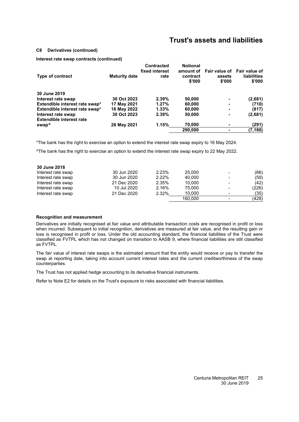#### **[C8](#page-25-1) Derivatives (continued)**

**Interest rate swap contracts (continued)**

|                                                      |                      | <b>Contracted</b><br>fixed interest | <b>Notional</b><br>amount of |                  | Fair value of Fair value of  |
|------------------------------------------------------|----------------------|-------------------------------------|------------------------------|------------------|------------------------------|
| <b>Type of contract</b>                              | <b>Maturity date</b> | rate                                | contract<br>\$'000           | assets<br>\$'000 | <b>liabilities</b><br>\$'000 |
| 30 June 2019                                         |                      |                                     |                              |                  |                              |
| Interest rate swap                                   | 30 Oct 2023          | 2.39%                               | 50,000                       | ۰                | (2,681)                      |
| Extendible interest rate swap*                       | 17 May 2021          | $1.27\%$                            | 60,000                       | ۰                | (710)                        |
| Extendible interest rate swap*                       | 16 May 2022          | 1.33%                               | 60,000                       | ۰                | (817)                        |
| Interest rate swap                                   | 30 Oct 2023          | 2.39%                               | 50,000                       | ۰                | (2,681)                      |
| <b>Extendible interest rate</b><br>swap <sup>^</sup> | 28 May 2021          | 1.15%                               | 70,000                       | ۰                | (291)                        |
|                                                      |                      |                                     | 290,000                      | ۰                | (7, 180)                     |

\*The bank has the right to exercise an option to extend the interest rate swap expiry to 16 May 2024.

^The bank has the right to exercise an option to extend the interest rate swap expiry to 22 May 2022.

| 30 June 2018       |             |       |         |                          |       |
|--------------------|-------------|-------|---------|--------------------------|-------|
| Interest rate swap | 30 Jun 2020 | 2.23% | 25,000  | -                        | (66)  |
| Interest rate swap | 30 Jun 2020 | 2.22% | 40.000  | $\blacksquare$           | (59)  |
| Interest rate swap | 21 Dec 2020 | 2.35% | 10.000  |                          | (42)  |
| Interest rate swap | 10 Jul 2020 | 2.16% | 75.000  | $\qquad \qquad$          | (226) |
| Interest rate swap | 21 Dec 2020 | 2.32% | 10.000  | $\qquad \qquad$          | (35)  |
|                    |             |       | 160.000 | $\overline{\phantom{0}}$ | (428) |

#### **Recognition and measurement**

Derivatives are initially recognised at fair value and attributable transaction costs are recognised in profit or loss when incurred. Subsequent to initial recognition, derivatives are measured at fair value, and the resulting gain or loss is recognised in profit or loss. Under the old accounting standard, the financial liabilities of the Trust were classified as FVTPL which has not changed on transition to AASB 9, where financial liabilities are still classified as FVTPL.

The fair value of interest rate swaps is the estimated amount that the entity would receive or pay to transfer the swap at reporting date, taking into account current interest rates and the current creditworthiness of the swap counterparties.

The Trust has not applied hedge accounting to its derivative financial instruments.

Refer to Note [E2](#page-33-2) for details on the Trust's exposure to risks associated with financial liabilities.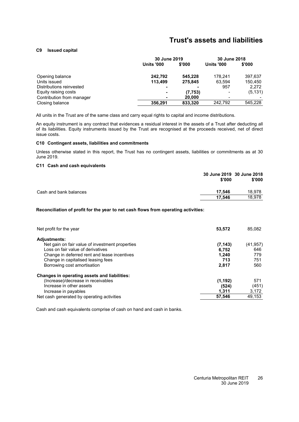#### <span id="page-27-0"></span>**[C9](#page-27-0) Issued capital**

|                           | 30 June 2019             |         | 30 June 2018      |          |
|---------------------------|--------------------------|---------|-------------------|----------|
|                           | <b>Units '000</b>        | \$'000  | <b>Units '000</b> | \$'000   |
| Opening balance           | 242,792                  | 545.228 | 178.241           | 397,637  |
| Units issued              | 113.499                  | 275.845 | 63.594            | 150.450  |
| Distributions reinvested  |                          |         | 957               | 2.272    |
| Equity raising costs      | $\overline{\phantom{0}}$ | (7,753) | $\,$              | (5, 131) |
| Contribution from manager | $\blacksquare$           | 20,000  | -                 |          |
| Closing balance           | 356.291                  | 833,320 | 242.792           | 545,228  |

All units in the Trust are of the same class and carry equal rights to capital and income distributions.

An equity instrument is any contract that evidences a residual interest in the assets of a Trust after deducting all of its liabilities. Equity instruments issued by the Trust are recognised at the proceeds received, net of direct issue costs.

#### <span id="page-27-1"></span>**[C10](#page-27-1) Contingent assets, liabilities and commitments**

<span id="page-27-2"></span>Unless otherwise stated in this report, the Trust has no contingent assets, liabilities or commitments as at 30 June 2019.

#### **[C11](#page-27-2) Cash and cash equivalents**

|                        | 30 June 2019 30 June 2018<br>\$'000 | \$'000 |
|------------------------|-------------------------------------|--------|
| Cash and bank balances | 17.546                              | 18,978 |
|                        | 17.546                              | 18,978 |

#### **Reconciliation of profit for the year to net cash flows from operating activities:**

| Net profit for the year                         | 53,572   | 85,082    |
|-------------------------------------------------|----------|-----------|
| <b>Adjustments:</b>                             |          |           |
| Net gain on fair value of investment properties | (7, 143) | (41, 957) |
| Loss on fair value of derivatives               | 6.752    | 646       |
| Change in deferred rent and lease incentives    | 1.240    | 779       |
| Change in capitalised leasing fees              | 713      | 751       |
| Borrowing cost amortisation                     | 2,817    | 560       |
| Changes in operating assets and liabilities:    |          |           |
| (Increase)/decrease in receivables              | (1, 192) | 571       |
| Increase in other assets                        | (524)    | (451)     |
| Increase in payables                            | 1,311    | 3,172     |
| Net cash generated by operating activities      | 57.546   | 49.153    |

Cash and cash equivalents comprise of cash on hand and cash in banks.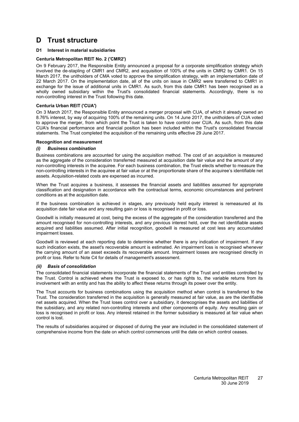#### <span id="page-28-1"></span><span id="page-28-0"></span>**[D1](#page-28-1) Interest in material subsidiaries**

#### **Centuria Metropolitan REIT No. 2 ('CMR2')**

On 9 February 2017, the Responsible Entity announced a proposal for a corporate simplification strategy which involved the de-stapling of CMR1 and CMR2, and acquisition of 100% of the units in CMR2 by CMR1. On 15 March 2017, the unitholders of CMA voted to approve the simplification strategy, with an implementation date of 22 March 2017. On the implementation date, all of the units on issue in CMR2 were transferred to CMR1 in exchange for the issue of additional units in CMR1. As such, from this date CMR1 has been recognised as a wholly owned subsidiary within the Trust's consolidated financial statements. Accordingly, there is no non-controlling interest in the Trust following this date.

#### **Centuria Urban REIT ('CUA')**

On 3 March 2017, the Responsible Entity announced a merger proposal with CUA, of which it already owned an 8.76% interest, by way of acquiring 100% of the remaining units. On 14 June 2017, the unitholders of CUA voted to approve the merger, from which point the Trust is taken to have control over CUA. As such, from this date CUA's financial performance and financial position has been included within the Trust's consolidated financial statements. The Trust completed the acquisition of the remaining units effective 29 June 2017.

#### **Recognition and measurement**

#### *(i) Business combination*

Business combinations are accounted for using the acquisition method. The cost of an acquisition is measured as the aggregate of the consideration transferred measured at acquisition date fair value and the amount of any non-controlling interests in the acquiree. For each business combination, the Trust elects whether to measure the non-controlling interests in the acquiree at fair value or at the proportionate share of the acquiree's identifiable net assets. Acquisition-related costs are expensed as incurred.

When the Trust acquires a business, it assesses the financial assets and liabilities assumed for appropriate classification and designation in accordance with the contractual terms, economic circumstances and pertinent conditions as at the acquisition date.

If the business combination is achieved in stages, any previously held equity interest is remeasured at its acquisition date fair value and any resulting gain or loss is recognised in profit or loss.

Goodwill is initially measured at cost, being the excess of the aggregate of the consideration transferred and the amount recognised for non-controlling interests, and any previous interest held, over the net identifiable assets acquired and liabilities assumed. After initial recognition, goodwill is measured at cost less any accumulated impairment losses.

Goodwill is reviewed at each reporting date to determine whether there is any indication of impairment. If any such indication exists, the asset's recoverable amount is estimated. An impairment loss is recognised whenever the carrying amount of an asset exceeds its recoverable amount. Impairment losses are recognised directly in profit or loss. Refer to Note [C4](#page-23-1) for details of management's assessment.

#### *(ii) Basis of consolidation*

The consolidated financial statements incorporate the financial statements of the Trust and entities controlled by the Trust. Control is achieved where the Trust is exposed to, or has rights to, the variable returns from its involvement with an entity and has the ability to affect these returns through its power over the entity.

The Trust accounts for business combinations using the acquisition method when control is transferred to the Trust. The consideration transferred in the acquisition is generally measured at fair value, as are the identifiable net assets acquired. When the Trust loses control over a subsidiary, it derecognises the assets and liabilities of the subsidiary, and any related non-controlling interests and other components of equity. Any resulting gain or loss is recognised in profit or loss. Any interest retained in the former subsidiary is measured at fair value when control is lost.

The results of subsidiaries acquired or disposed of during the year are included in the consolidated statement of comprehensive income from the date on which control commences until the date on which control ceases.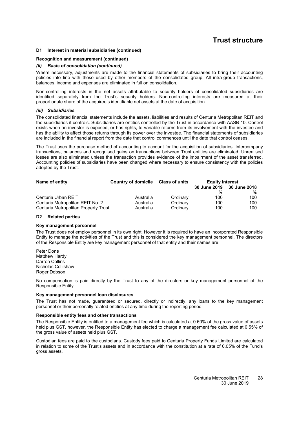#### **[D1](#page-28-1) Interest in material subsidiaries (continued)**

#### **Recognition and measurement (continued)**

#### *(ii) Basis of consolidation (continued)*

Where necessary, adjustments are made to the financial statements of subsidiaries to bring their accounting policies into line with those used by other members of the consolidated group. All intra-group transactions, balances, income and expenses are eliminated in full on consolidation.

Non-controlling interests in the net assets attributable to security holders of consolidated subsidiaries are identified separately from the Trust's security holders. Non-controlling interests are measured at their proportionate share of the acquiree's identifiable net assets at the date of acquisition.

#### *(iii) Subsidiaries*

The consolidated financial statements include the assets, liabilities and results of Centuria Metropolitan REIT and the subsidiaries it controls. Subsidiaries are entities controlled by the Trust in accordance with AASB 10. Control exists when an investor is exposed, or has rights, to variable returns from its involvement with the investee and has the ability to affect those returns through its power over the investee. The financial statements of subsidiaries are included in the financial report from the date that control commences until the date that control ceases.

The Trust uses the purchase method of accounting to account for the acquisition of subsidiaries. Intercompany transactions, balances and recognised gains on transactions between Trust entities are eliminated. Unrealised losses are also eliminated unless the transaction provides evidence of the impairment of the asset transferred. Accounting policies of subsidiaries have been changed where necessary to ensure consistency with the policies adopted by the Trust.

| Name of entity                       | <b>Country of domicile</b><br><b>Class of units</b> |          | <b>Equity interest</b>    |     |
|--------------------------------------|-----------------------------------------------------|----------|---------------------------|-----|
|                                      |                                                     |          | 30 June 2019 30 June 2018 |     |
|                                      |                                                     |          | %                         | %   |
| Centuria Urban REIT                  | Australia                                           | Ordinary | 100                       | 100 |
| Centuria Metropolitan REIT No. 2     | Australia                                           | Ordinary | 100                       | 100 |
| Centuria Metropolitan Property Trust | Australia                                           | Ordinary | 100                       | 100 |

#### <span id="page-29-0"></span>**[D2](#page-29-0) Related parties**

#### **Key management personnel**

The Trust does not employ personnel in its own right. However it is required to have an incorporated Responsible Entity to manage the activities of the Trust and this is considered the key management personnel. The directors of the Responsible Entity are key management personnel of that entity and their names are:

Peter Done Matthew Hardy Darren Collins Nicholas Collishaw Roger Dobson

No compensation is paid directly by the Trust to any of the directors or key management personnel of the Responsible Entity.

#### **Key management personnel loan disclosures**

The Trust has not made, guaranteed or secured, directly or indirectly, any loans to the key management personnel or their personally related entities at any time during the reporting period.

#### **Responsible entity fees and other transactions**

The Responsible Entity is entitled to a management fee which is calculated at 0.60% of the gross value of assets held plus GST, however, the Responsible Entity has elected to charge a management fee calculated at 0.55% of the gross value of assets held plus GST.

Custodian fees are paid to the custodians. Custody fees paid to Centuria Property Funds Limited are calculated in relation to some of the Trust's assets and in accordance with the constitution at a rate of 0.05% of the Fund's gross assets.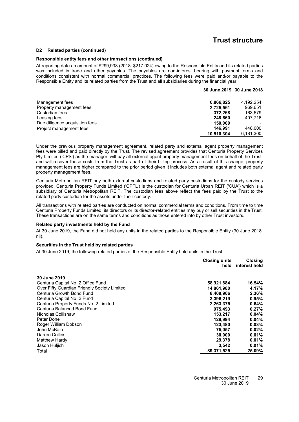#### **[D2](#page-29-0) Related parties (continued)**

#### **Responsible entity fees and other transactions (continued)**

At reporting date an amount of \$299,938 (2018: \$217,024) owing to the Responsible Entity and its related parties was included in trade and other payables. The payables are non-interest bearing with payment terms and conditions consistent with normal commercial practices. The following fees were paid and/or payable to the Responsible Entity and its related parties from the Trust and all subsidiaries during the financial year:

|                                |            | 30 June 2019 30 June 2018 |
|--------------------------------|------------|---------------------------|
| Management fees                | 6,866,825  | 4.192.254                 |
| Property management fees       | 2,725,561  | 969.651                   |
| Custodian fees                 | 372.268    | 163.679                   |
| Leasing fees                   | 248.660    | 407.716                   |
| Due diligence acquisition fees | 150,000    |                           |
| Project management fees        | 146.991    | 448.000                   |
|                                | 10.510.304 | 6,181,300                 |

Under the previous property management agreement, related party and external agent property management fees were billed and paid directly by the Trust. The revised agreement provides that Centuria Property Services Pty Limited ('CPS') as the manager, will pay all external agent property management fees on behalf of the Trust, and will recover these costs from the Trust as part of their billing process. As a result of this change, property management fees are higher compared to the prior period given it includes both external agent and related party property management fees.

Centuria Metropolitan REIT pay both external custodians and related party custodians for the custody services provided. Centuria Property Funds Limited ('CPFL') is the custodian for Centuria Urban REIT ('CUA') which is a subsidiary of Centuria Metropolitan REIT. The custodian fees above reflect the fees paid by the Trust to the related party custodian for the assets under their custody.

All transactions with related parties are conducted on normal commercial terms and conditions. From time to time Centuria Property Funds Limited, its directors or its director-related entities may buy or sell securities in the Trust. These transactions are on the same terms and conditions as those entered into by other Trust investors.

#### **Related party investments held by the Fund**

At 30 June 2019, the Fund did not hold any units in the related parties to the Responsible Entity (30 June 2018: nil).

#### **Securities in the Trust held by related parties**

At 30 June 2019, the following related parties of the Responsible Entity hold units in the Trust:

|                                              | <b>Closing units</b><br>held | <b>Closing</b><br>interest held |
|----------------------------------------------|------------------------------|---------------------------------|
| 30 June 2019                                 |                              |                                 |
| Centuria Capital No. 2 Office Fund           | 58,921,884                   | 16.54%                          |
| Over Fifty Guardian Friendly Society Limited | 14,861,980                   | 4.17%                           |
| Centuria Growth Bond Fund                    | 8,408,906                    | 2.36%                           |
| Centuria Capital No. 2 Fund                  | 3,396,219                    | 0.95%                           |
| Centuria Property Funds No. 2 Limited        | 2.263.375                    | 0.64%                           |
| Centuria Balanced Bond Fund                  | 975.493                      | 0.27%                           |
| Nicholas Collishaw                           | 153.217                      | 0.04%                           |
| Peter Done                                   | 128.994                      | 0.04%                           |
| Roger William Dobson                         | 123.480                      | 0.03%                           |
| John McBain                                  | 75.057                       | 0.02%                           |
| Darren Collins                               | 30,000                       | 0.01%                           |
| Matthew Hardy                                | 29.378                       | 0.01%                           |
| Jason Huljich                                | 3,542                        | 0.01%                           |
| Total                                        | 89,371,525                   | 25.09%                          |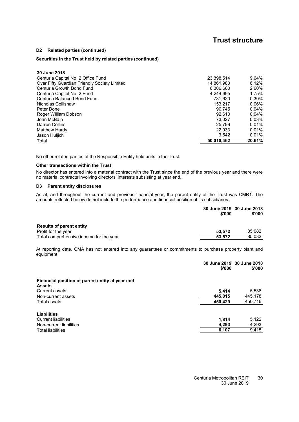#### **[D2](#page-29-0) Related parties (continued)**

#### **Securities in the Trust held by related parties (continued)**

| Total                                        | 50,010,462 | 20.61% |
|----------------------------------------------|------------|--------|
| Jason Huljich                                | 3.542      | 0.01%  |
| Matthew Hardy                                | 22.033     | 0.01%  |
| Darren Collins                               | 25.799     | 0.01%  |
| John McBain                                  | 73.027     | 0.03%  |
| Roger William Dobson                         | 92.610     | 0.04%  |
| Peter Done                                   | 96.745     | 0.04%  |
| Nicholas Collishaw                           | 153.217    | 0.06%  |
| Centuria Balanced Bond Fund                  | 731.620    | 0.30%  |
| Centuria Capital No. 2 Fund                  | 4,244,695  | 1.75%  |
| Centuria Growth Bond Fund                    | 6.306.680  | 2.60%  |
| Over Fifty Guardian Friendly Society Limited | 14.861.980 | 6.12%  |
| Centuria Capital No. 2 Office Fund           | 23.398.514 | 9.64%  |
| 30 June 2018                                 |            |        |

No other related parties of the Responsible Entity held units in the Trust.

#### **Other transactions within the Trust**

<span id="page-31-0"></span>No director has entered into a material contract with the Trust since the end of the previous year and there were no material contracts involving directors' interests subsisting at year end.

#### **[D3](#page-31-0) Parent entity disclosures**

As at, and throughout the current and previous financial year, the parent entity of the Trust was CMR1. The amounts reflected below do not include the performance and financial position of its subsidiaries.

|                                         | 30 June 2019 30 June 2018<br>\$'000 | \$'000 |  |
|-----------------------------------------|-------------------------------------|--------|--|
| <b>Results of parent entity</b>         |                                     |        |  |
| Profit for the year                     | 53.572                              | 85.082 |  |
| Total comprehensive income for the year | 53.572                              | 85.082 |  |

At reporting date, CMA has not entered into any guarantees or commitments to purchase property plant and equipment.

|                                                                  | \$'000  | 30 June 2019 30 June 2018<br>\$'000 |
|------------------------------------------------------------------|---------|-------------------------------------|
| Financial position of parent entity at year end<br><b>Assets</b> |         |                                     |
| <b>Current assets</b>                                            | 5.414   | 5,538                               |
| Non-current assets                                               | 445,015 | 445,178                             |
| Total assets                                                     | 450,429 | 450,716                             |
| <b>Liabilities</b><br><b>Current liabilities</b>                 | 1,814   | 5,122                               |
| Non-current liabilities                                          | 4,293   | 4,293                               |
| <b>Total liabilities</b>                                         | 6,107   | 9,415                               |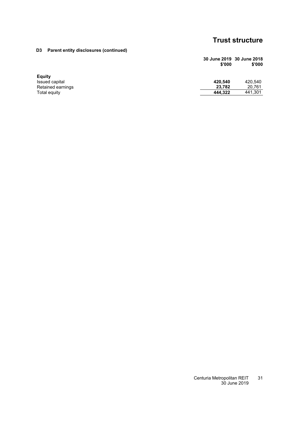### **[D3](#page-31-0) Parent entity disclosures (continued)**

| 30 June 2019 30 June 2018 |        |
|---------------------------|--------|
| \$'000                    | \$'000 |

| Equity            |         |         |
|-------------------|---------|---------|
| Issued capital    | 420.540 | 420.540 |
| Retained earnings | 23.782  | 20.761  |
| Total equity      | 444.322 | 441.301 |
|                   |         |         |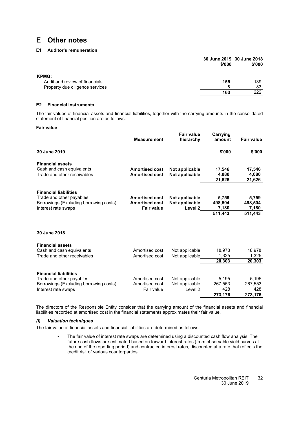#### <span id="page-33-1"></span><span id="page-33-0"></span>**[E1](#page-33-1) Auditor's remuneration**

|                                 | \$'000 | 30 June 2019 30 June 2018<br>\$'000 |
|---------------------------------|--------|-------------------------------------|
| <b>KPMG:</b>                    |        |                                     |
| Audit and review of financials  | 155    | 139                                 |
| Property due diligence services | 8      | 83                                  |
|                                 | 163    | 222                                 |

#### <span id="page-33-2"></span>**[E2](#page-33-2) Financial instruments**

The fair values of financial assets and financial liabilities, together with the carrying amounts in the consolidated statement of financial position are as follows:

#### **Fair value**

|                                        | <b>Measurement</b>    | <b>Fair value</b><br>hierarchy | Carrying<br>amount | <b>Fair value</b> |
|----------------------------------------|-----------------------|--------------------------------|--------------------|-------------------|
| 30 June 2019                           |                       |                                | \$'000             | \$'000            |
| <b>Financial assets</b>                |                       |                                |                    |                   |
| Cash and cash equivalents              | <b>Amortised cost</b> | Not applicable                 | 17,546             | 17,546            |
| Trade and other receivables            | <b>Amortised cost</b> | Not applicable                 | 4,080              | 4,080             |
|                                        |                       |                                | 21,626             | 21,626            |
| <b>Financial liabilities</b>           |                       |                                |                    |                   |
| Trade and other payables               | <b>Amortised cost</b> | Not applicable                 | 5,759              | 5,759             |
| Borrowings (Excluding borrowing costs) | <b>Amortised cost</b> | Not applicable                 | 498,504            | 498,504           |
| Interest rate swaps                    | <b>Fair value</b>     | Level <sub>2</sub>             | 7,180              | 7,180             |
|                                        |                       |                                | 511,443            | 511,443           |
| 30 June 2018                           |                       |                                |                    |                   |
| <b>Financial assets</b>                |                       |                                |                    |                   |
| Cash and cash equivalents              | Amortised cost        | Not applicable                 | 18,978             | 18,978            |
| Trade and other receivables            | Amortised cost        | Not applicable                 | 1,325              | 1,325             |
|                                        |                       |                                | 20,303             | 20,303            |
| <b>Financial liabilities</b>           |                       |                                |                    |                   |
| Trade and other payables               | Amortised cost        | Not applicable                 | 5,195              | 5,195             |
| Borrowings (Excluding borrowing costs) | Amortised cost        | Not applicable                 | 267,553            | 267,553           |
| Interest rate swaps                    | Fair value            | Level 2                        | 428                | 428               |
|                                        |                       |                                | 273,176            | 273,176           |

The directors of the Responsible Entity consider that the carrying amount of the financial assets and financial liabilities recorded at amortised cost in the financial statements approximates their fair value.

#### *(i) Valuation techniques*

The fair value of financial assets and financial liabilities are determined as follows:

• The fair value of interest rate swaps are determined using a discounted cash flow analysis. The future cash flows are estimated based on forward interest rates (from observable yield curves at the end of the reporting period) and contracted interest rates, discounted at a rate that reflects the credit risk of various counterparties.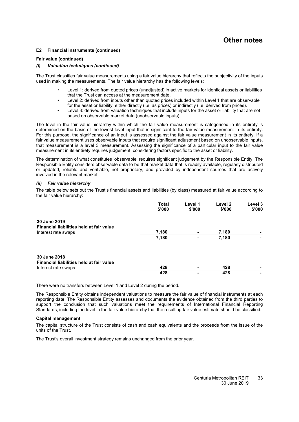#### **[E2](#page-33-2) Financial instruments (continued)**

#### **Fair value (continued)**

#### *(i) Valuation techniques (continued)*

The Trust classifies fair value measurements using a fair value hierarchy that reflects the subjectivity of the inputs used in making the measurements. The fair value hierarchy has the following levels:

- Level 1: derived from quoted prices (unadjusted) in active markets for identical assets or liabilities that the Trust can access at the measurement date.
- Level 2: derived from inputs other than quoted prices included within Level 1 that are observable for the asset or liability, either directly (i.e. as prices) or indirectly (i.e. derived from prices).
- Level 3: derived from valuation techniques that include inputs for the asset or liability that are not based on observable market data (unobservable inputs).

The level in the fair value hierarchy within which the fair value measurement is categorised in its entirety is determined on the basis of the lowest level input that is significant to the fair value measurement in its entirety. For this purpose, the significance of an input is assessed against the fair value measurement in its entirety. If a fair value measurement uses observable inputs that require significant adjustment based on unobservable inputs, that measurement is a level 3 measurement. Assessing the significance of a particular input to the fair value measurement in its entirety requires judgement, considering factors specific to the asset or liability.

The determination of what constitutes 'observable' requires significant judgement by the Responsible Entity. The Responsible Entity considers observable data to be that market data that is readily available, regularly distributed or updated, reliable and verifiable, not proprietary, and provided by independent sources that are actively involved in the relevant market.

#### *(ii) Fair value hierarchy*

The table below sets out the Trust's financial assets and liabilities (by class) measured at fair value according to the fair value hierarchy:

|                                                          | <b>Total</b><br>\$'000 | Level 1<br>\$'000 | Level 2<br>\$'000 | Level 3<br>\$'000 |
|----------------------------------------------------------|------------------------|-------------------|-------------------|-------------------|
| 30 June 2019<br>Financial liabilities held at fair value |                        |                   |                   |                   |
| Interest rate swaps                                      | 7,180                  |                   | 7,180             |                   |
|                                                          | 7,180                  | -                 | 7,180             |                   |
| 30 June 2018<br>Financial liabilities held at fair value |                        |                   |                   |                   |
| Interest rate swaps                                      | 428                    |                   | 428               |                   |
|                                                          | 428                    |                   | 428               |                   |

There were no transfers between Level 1 and Level 2 during the period.

The Responsible Entity obtains independent valuations to measure the fair value of financial instruments at each reporting date. The Responsible Entity assesses and documents the evidence obtained from the third parties to support the conclusion that such valuations meet the requirements of International Financial Reporting Standards, including the level in the fair value hierarchy that the resulting fair value estimate should be classified.

#### **Capital management**

The capital structure of the Trust consists of cash and cash equivalents and the proceeds from the issue of the units of the Trust.

The Trust's overall investment strategy remains unchanged from the prior year.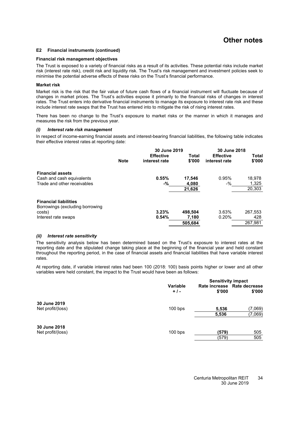#### **[E2](#page-33-2) Financial instruments (continued)**

#### **Financial risk management objectives**

The Trust is exposed to a variety of financial risks as a result of its activities. These potential risks include market risk (interest rate risk), credit risk and liquidity risk. The Trust's risk management and investment policies seek to minimise the potential adverse effects of these risks on the Trust's financial performance.

#### **Market risk**

Market risk is the risk that the fair value of future cash flows of a financial instrument will fluctuate because of changes in market prices. The Trust's activities expose it primarily to the financial risks of changes in interest rates. The Trust enters into derivative financial instruments to manage its exposure to interest rate risk and these include interest rate swaps that the Trust has entered into to mitigate the risk of rising interest rates.

There has been no change to the Trust's exposure to market risks or the manner in which it manages and measures the risk from the previous year.

#### *(i) Interest rate risk management*

In respect of income-earning financial assets and interest-bearing financial liabilities, the following table indicates their effective interest rates at reporting date:

|                                 |             | 30 June 2019     |         | 30 June 2018     |              |
|---------------------------------|-------------|------------------|---------|------------------|--------------|
|                                 |             | <b>Effective</b> | Total   | <b>Effective</b> | <b>Total</b> |
|                                 | <b>Note</b> | interest rate    | \$'000  | interest rate    | \$'000       |
| <b>Financial assets</b>         |             |                  |         |                  |              |
| Cash and cash equivalents       |             | 0.55%            | 17,546  | 0.95%            | 18,978       |
| Trade and other receivables     |             | -%               | 4,080   | -%               | 1,325        |
|                                 |             |                  | 21,626  |                  | 20,303       |
| <b>Financial liabilities</b>    |             |                  |         |                  |              |
| Borrowings (excluding borrowing |             |                  |         |                  |              |
| costs)                          |             | 3.23%            | 498.504 | 3.63%            | 267,553      |
| Interest rate swaps             |             | 0.54%            | 7,180   | 0.20%            | 428          |
|                                 |             |                  | 505,684 |                  | 267.981      |

#### *(ii) Interest rate sensitivity*

The sensitivity analysis below has been determined based on the Trust's exposure to interest rates at the reporting date and the stipulated change taking place at the beginning of the financial year and held constant throughout the reporting period, in the case of financial assets and financial liabilities that have variable interest rates.

At reporting date, if variable interest rates had been 100 (2018: 100) basis points higher or lower and all other variables were held constant, the impact to the Trust would have been as follows:

|                                   |                          | <b>Sensitivity impact</b> |                                       |  |
|-----------------------------------|--------------------------|---------------------------|---------------------------------------|--|
|                                   | <b>Variable</b><br>$+1-$ | \$'000                    | Rate increase Rate decrease<br>\$'000 |  |
| 30 June 2019<br>Net profit/(loss) | $100$ bps                | 5,536                     | (7,069)                               |  |
|                                   |                          | 5,536                     | (7,069)                               |  |
| 30 June 2018<br>Net profit/(loss) | $100$ bps                | (579)                     | 505                                   |  |
|                                   |                          | (579)                     | 505                                   |  |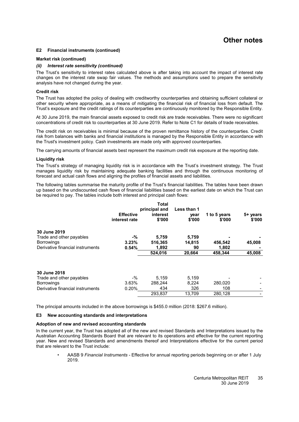#### **[E2](#page-33-2) Financial instruments (continued)**

#### **Market risk (continued)**

#### *(ii) Interest rate sensitivity (continued)*

The Trust's sensitivity to interest rates calculated above is after taking into account the impact of interest rate changes on the interest rate swap fair values. The methods and assumptions used to prepare the sensitivity analysis have not changed during the year.

#### **Credit risk**

The Trust has adopted the policy of dealing with creditworthy counterparties and obtaining sufficient collateral or other security where appropriate, as a means of mitigating the financial risk of financial loss from default. The Trust's exposure and the credit ratings of its counterparties are continuously monitored by the Responsible Entity.

At 30 June 2019, the main financial assets exposed to credit risk are trade receivables. There were no significant concentrations of credit risk to counterparties at 30 June 2019. Refer to Note [C1](#page-18-0) for details of trade receivables.

The credit risk on receivables is minimal because of the proven remittance history of the counterparties. Credit risk from balances with banks and financial institutions is managed by the Responsible Entity in accordance with the Trust's investment policy. Cash investments are made only with approved counterparties.

The carrying amounts of financial assets best represent the maximum credit risk exposure at the reporting date.

#### **Liquidity risk**

The Trust's strategy of managing liquidity risk is in accordance with the Trust's investment strategy. The Trust manages liquidity risk by maintaining adequate banking facilities and through the continuous monitoring of forecast and actual cash flows and aligning the profiles of financial assets and liabilities.

The following tables summarise the maturity profile of the Trust's financial liabilities. The tables have been drawn up based on the undiscounted cash flows of financial liabilities based on the earliest date on which the Trust can be required to pay. The tables include both interest and principal cash flows:

|                                                       | <b>Effective</b><br>interest rate | Total<br>principal and<br>interest<br>\$'000 | Less than 1<br>year<br>\$'000 | 1 to 5 years<br>\$'000 | 5+ years<br>\$'000 |
|-------------------------------------------------------|-----------------------------------|----------------------------------------------|-------------------------------|------------------------|--------------------|
| 30 June 2019                                          |                                   |                                              |                               |                        |                    |
| Trade and other payables                              | -%<br>3.23%                       | 5,759<br>516,365                             | 5,759                         |                        | 45,008             |
| <b>Borrowings</b><br>Derivative financial instruments | 0.54%                             | 1,892                                        | 14,815<br>90                  | 456,542<br>1,802       |                    |
|                                                       |                                   | 524,016                                      | 20,664                        | 458,344                | 45,008             |
| 30 June 2018                                          |                                   |                                              |                               |                        |                    |
| Trade and other payables                              | $-$ %                             | 5.159                                        | 5,159                         |                        |                    |
| <b>Borrowings</b>                                     | 3.63%                             | 288.244                                      | 8.224                         | 280.020                |                    |
| Derivative financial instruments                      | 0.20%                             | 434                                          | 326                           | 108                    |                    |
|                                                       |                                   | 293,837                                      | 13,709                        | 280,128                |                    |

<span id="page-36-0"></span>The principal amounts included in the above borrowings is \$455.0 million (2018: \$267.6 million).

#### **[E3](#page-36-0) New accounting standards and interpretations**

#### **Adoption of new and revised accounting standards**

In the current year, the Trust has adopted all of the new and revised Standards and Interpretations issued by the Australian Accounting Standards Board that are relevant to its operations and effective for the current reporting year. New and revised Standards and amendments thereof and Interpretations effective for the current period that are relevant to the Trust include:

• AASB 9 *Financial Instruments -* Effective for annual reporting periods beginning on or after 1 July 2019.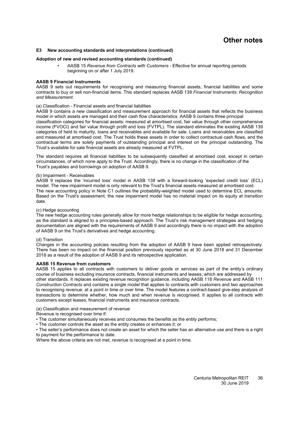#### **[E3](#page-36-0) New accounting standards and interpretations (continued)**

#### **Adoption of new and revised accounting standards (continued)**

• AASB 15 *Revenue from Contracts with Customers -* Effective for annual reporting periods beginning on or after 1 July 2019.

#### **AASB 9 Financial Instruments**

AASB 9 sets out requirements for recognising and measuring financial assets, financial liabilities and some contracts to buy or sell non-financial items. This standard replaces AASB 139 *Financial Instruments: Recognition and Measurement.*

#### (a) Classification - Financial assets and financial liabilities

AASB 9 contains a new classification and measurement approach for financial assets that reflects the business model in which assets are managed and their cash flow characteristics. AASB 9 contains three principal classification categories for financial assets: measured at amortised cost, fair value through other comprehensive income (FVOCI) and fair value through profit and loss (FVTPL). The standard eliminates the existing AASB 139 categories of held to maturity, loans and receivables and available for sale. Loans and receivables are classified and measured at amortised cost. The Trust holds these assets in order to collect contractual cash flows, and the contractual terms are solely payments of outstanding principal and interest on the principal outstanding. The Trust's available for sale financial assets are already measured at FVTPL.

The standard requires all financial liabilities to be subsequently classified at amortised cost, except in certain circumstances, of which none apply to the Trust. Accordingly, there is no change in the classification of the Trust's payables and borrowings on adoption of AASB 9.

#### (b) Impairment - Receivables

AASB 9 replaces the 'incurred loss' model in AASB 139 with a forward-looking 'expected credit loss' (ECL) model. The new impairment model is only relevant to the Trust's financial assets measured at amortised cost. The new accounting policy in Note [C1](#page-18-0) outlines the probability-weighted model used to determine ECL amounts. Based on the Trust's assessment, the new impairment model has no material impact on its equity at transition date.

#### (c) Hedge accounting

The new hedge accounting rules generally allow for more hedge relationships to be eligible for hedge accounting, as the standard is aligned to a principles-based approach. The Trust's risk management strategies and hedging documentation are aligned with the requirements of AASB 9 and accordingly there is no impact with the adoption of AASB 9 on the Trust's derivatives and hedge accounting.

#### (d) Transition

Changes in the accounting policies resulting from the adoption of AASB 9 have been applied retrospectively. There has been no impact on the financial position previously reported as at 30 June 2018 and 31 December 2018 as a result of the adoption of AASB 9 and its retrospective application.

#### **AASB 15 Revenue from customers**

AASB 15 applies to all contracts with customers to deliver goods or services as part of the entity's ordinary course of business excluding insurance contracts, financial instruments and leases, which are addressed by other standards. It replaces existing revenue recognition guidance, including AASB 118 *Revenue* and AASB 111 *Construction Contracts* and contains a single model that applies to contracts with customers and two approaches to recognising revenue: at a point in time or over time. The model features a contract-based give-step analysis of transactions to determine whether, how much and when revenue is recognised. It applies to all contracts with customers except leases, financial instruments and insurance contracts.

(a) Classification and measurement of revenue

Revenue is recognised over time if:

- The customer simultaneously receives and consumes the benefits as the entity performs;
- The customer controls the asset as the entity creates or enhances it; or

• The seller's performance does not create an asset for which the seller has an alternative use and there is a right to payment for the performance to date.

Where the above criteria are not met, revenue is recognised at a point in time.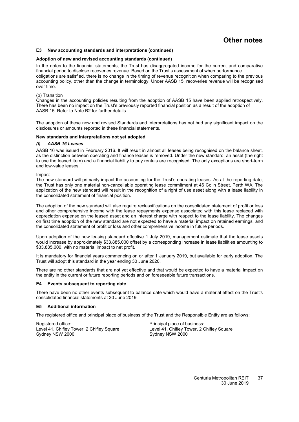#### **[E3](#page-36-0) New accounting standards and interpretations (continued)**

#### **Adoption of new and revised accounting standards (continued)**

In the notes to the financial statements, the Trust has disaggregated income for the current and comparative financial period to disclose recoveries revenue. Based on the Trust's assessment of when performance obligations are satisfied, there is no change in the timing of revenue recognition when comparing to the previous accounting policy, other than the change in terminology. Under AASB 15, recoveries revenue will be recognised over time.

#### (b) Transition

Changes in the accounting policies resulting from the adoption of AASB 15 have been applied retrospectively. There has been no impact on the Trust's previously reported financial position as a result of the adoption of AASB 15. Refer to Note [B2](#page-15-2) for further details.

The adoption of these new and revised Standards and Interpretations has not had any significant impact on the disclosures or amounts reported in these financial statements.

#### **New standards and interpretations not yet adopted**

#### *(i) AASB 16 Leases*

AASB 16 was issued in February 2016. It will result in almost all leases being recognised on the balance sheet, as the distinction between operating and finance leases is removed. Under the new standard, an asset (the right to use the leased item) and a financial liability to pay rentals are recognised. The only exceptions are short-term and low-value leases.

Impact

The new standard will primarily impact the accounting for the Trust's operating leases. As at the reporting date, the Trust has only one material non-cancellable operating lease commitment at 46 Colin Street, Perth WA. The application of the new standard will result in the recognition of a right of use asset along with a lease liability in the consolidated statement of financial position.

The adoption of the new standard will also require reclassifications on the consolidated statement of profit or loss and other comprehensive income with the lease repayments expense associated with this lease replaced with depreciation expense on the leased asset and an interest charge with respect to the lease liability. The changes on first time adoption of the new standard are not expected to have a material impact on retained earnings, and the consolidated statement of profit or loss and other comprehensive income in future periods.

Upon adoption of the new leasing standard effective 1 July 2019, management estimate that the lease assets would increase by approximately \$33,885,000 offset by a corresponding increase in lease liabilities amounting to \$33,885,000, with no material impact to net profit.

It is mandatory for financial years commencing on or after 1 January 2019, but available for early adoption. The Trust will adopt this standard in the year ending 30 June 2020.

<span id="page-38-0"></span>There are no other standards that are not yet effective and that would be expected to have a material impact on the entity in the current or future reporting periods and on foreseeable future transactions.

#### **[E4](#page-38-0) Events subsequent to reporting date**

<span id="page-38-1"></span>There have been no other events subsequent to balance date which would have a material effect on the Trust's consolidated financial statements at 30 June 2019.

#### **[E5](#page-38-1) Additional information**

The registered office and principal place of business of the Trust and the Responsible Entity are as follows:

Registered office:  $\blacksquare$  Principal place of business: Level 41, Chifley Tower, 2 Chifley Square<br>
Sydney NSW 2000<br>
Sydney NSW 2000

Sydney NSW 2000

Centuria Metropolitan REIT 30 June 2019 37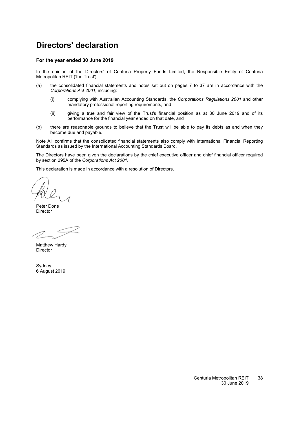### <span id="page-39-0"></span>**Directors' declaration**

#### **For the year ended 30 June 2019**

In the opinion of the Directors' of Centuria Property Funds Limited, the Responsible Entity of Centuria Metropolitan REIT ('the Trust'):

- (a) the consolidated financial statements and notes set out on pages [7](#page-8-0) to [37](#page-13-0) are in accordance with the *Corporations Act 2001*, including:
	- (i) complying with Australian Accounting Standards, the *Corporations Regulations 2001* and other mandatory professional reporting requirements, and
	- (ii) giving a true and fair view of the Trust's financial position as at 30 June 2019 and of its performance for the financial year ended on that date, and
- (b) there are reasonable grounds to believe that the Trust will be able to pay its debts as and when they become due and payable.

Note [A1](#page-13-2) confirms that the consolidated financial statements also comply with International Financial Reporting Standards as issued by the International Accounting Standards Board.

The Directors have been given the declarations by the chief executive officer and chief financial officer required by section 295A of the *Corporations Act 2001*.

This declaration is made in accordance with a resolution of Directors.

Peter Done Director

Matthew Hardy **Director** 

Sydney 6 August 2019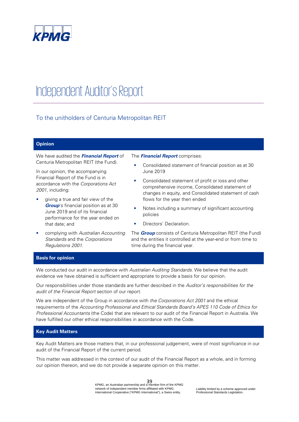

## Independent Auditor's Report

### To the unitholders of Centuria Metropolitan REIT

#### **Opinion**

We have audited the **Financial Report** of Centuria Metropolitan REIT (the Fund).

In our opinion, the accompanying Financial Report of the Fund is in accordance with the Corporations Act 2001, including:

- giving a true and fair view of the **Group**'s financial position as at 30 June 2019 and of its financial performance for the year ended on that date; and
- complying with Australian Accounting Standards and the Corporations Regulations 2001.

The **Financial Report** comprises:

- Consolidated statement of financial position as at 30 June 2019
- Consolidated statement of profit or loss and other comprehensive income, Consolidated statement of changes in equity, and Consolidated statement of cash flows for the year then ended
- Notes including a summary of significant accounting policies
- Directors' Declaration.

The **Group** consists of Centuria Metropolitan REIT (the Fund) and the entities it controlled at the year-end or from time to time during the financial year.

#### **Basis for opinion**

We conducted our audit in accordance with Australian Auditing Standards. We believe that the audit evidence we have obtained is sufficient and appropriate to provide a basis for our opinion.

Our responsibilities under those standards are further described in the Auditor's responsibilities for the audit of the Financial Report section of our report.

We are independent of the Group in accordance with the Corporations Act 2001 and the ethical requirements of the Accounting Professional and Ethical Standards Board's APES 110 Code of Ethics for Professional Accountants (the Code) that are relevant to our audit of the Financial Report in Australia. We have fulfilled our other ethical responsibilities in accordance with the Code.

#### **Key Audit Matters**

Key Audit Matters are those matters that, in our professional judgement, were of most significance in our audit of the Financial Report of the current period.

This matter was addressed in the context of our audit of the Financial Report as a whole, and in forming our opinion thereon, and we do not provide a separate opinion on this matter.

> 39 KPMG, an Australian partnership and a member firm of the KPMG network of independent member firms affiliated with KPMG International Cooperative ("KPMG International"), a Swiss entity.

Liability limited by a scheme approved under Professional Standards Legislation.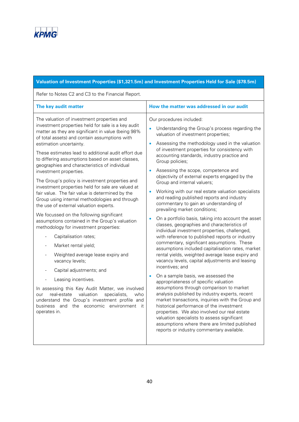

| Valuation of Investment Properties (\$1,321.5m) and Investment Properties Held for Sale (\$78.5m)                                                                                                                                                                                                                                                                                                                                                                                                                                                                                                                                                                                                                                                                                                                                                                                                                                                                                                                                                                                                                                                                                                                                                         |                                                                                                                                                                                                                                                                                                                                                                                                                                                                                                                                                                                                                                                                                                                                                                                                                                                                                                                                                                                                                                                                                                                                                                                                                                                                                                                                                                                                                                                                                                                   |  |  |  |
|-----------------------------------------------------------------------------------------------------------------------------------------------------------------------------------------------------------------------------------------------------------------------------------------------------------------------------------------------------------------------------------------------------------------------------------------------------------------------------------------------------------------------------------------------------------------------------------------------------------------------------------------------------------------------------------------------------------------------------------------------------------------------------------------------------------------------------------------------------------------------------------------------------------------------------------------------------------------------------------------------------------------------------------------------------------------------------------------------------------------------------------------------------------------------------------------------------------------------------------------------------------|-------------------------------------------------------------------------------------------------------------------------------------------------------------------------------------------------------------------------------------------------------------------------------------------------------------------------------------------------------------------------------------------------------------------------------------------------------------------------------------------------------------------------------------------------------------------------------------------------------------------------------------------------------------------------------------------------------------------------------------------------------------------------------------------------------------------------------------------------------------------------------------------------------------------------------------------------------------------------------------------------------------------------------------------------------------------------------------------------------------------------------------------------------------------------------------------------------------------------------------------------------------------------------------------------------------------------------------------------------------------------------------------------------------------------------------------------------------------------------------------------------------------|--|--|--|
| Refer to Notes C2 and C3 to the Financial Report.                                                                                                                                                                                                                                                                                                                                                                                                                                                                                                                                                                                                                                                                                                                                                                                                                                                                                                                                                                                                                                                                                                                                                                                                         |                                                                                                                                                                                                                                                                                                                                                                                                                                                                                                                                                                                                                                                                                                                                                                                                                                                                                                                                                                                                                                                                                                                                                                                                                                                                                                                                                                                                                                                                                                                   |  |  |  |
| The key audit matter                                                                                                                                                                                                                                                                                                                                                                                                                                                                                                                                                                                                                                                                                                                                                                                                                                                                                                                                                                                                                                                                                                                                                                                                                                      | How the matter was addressed in our audit                                                                                                                                                                                                                                                                                                                                                                                                                                                                                                                                                                                                                                                                                                                                                                                                                                                                                                                                                                                                                                                                                                                                                                                                                                                                                                                                                                                                                                                                         |  |  |  |
| The valuation of investment properties and<br>investment properties held for sale is a key audit<br>matter as they are significant in value (being 98%<br>of total assets) and contain assumptions with<br>estimation uncertainty.<br>These estimates lead to additional audit effort due<br>to differing assumptions based on asset classes,<br>geographies and characteristics of individual<br>investment properties.<br>The Group's policy is investment properties and<br>investment properties held for sale are valued at<br>fair value. The fair value is determined by the<br>Group using internal methodologies and through<br>the use of external valuation experts.<br>We focussed on the following significant<br>assumptions contained in the Group's valuation<br>methodology for investment properties:<br>Capitalisation rates;<br>Market rental yield;<br>Weighted average lease expiry and<br>$\qquad \qquad \blacksquare$<br>vacancy levels;<br>Capital adjustments; and<br>Leasing incentives.<br>In assessing this Key Audit Matter, we involved<br>valuation<br>specialists,<br>real-estate<br>who<br>our<br>understand the Group's investment profile and<br>business<br>and<br>the<br>economic<br>environment it<br>operates in. | Our procedures included:<br>Understanding the Group's process regarding the<br>valuation of investment properties;<br>Assessing the methodology used in the valuation<br>of investment properties for consistency with<br>accounting standards, industry practice and<br>Group policies;<br>Assessing the scope, competence and<br>objectivity of external experts engaged by the<br>Group and internal valuers;<br>Working with our real estate valuation specialists<br>and reading published reports and industry<br>commentary to gain an understanding of<br>prevailing market conditions;<br>On a portfolio basis, taking into account the asset<br>classes, geographies and characteristics of<br>individual investment properties, challenged,<br>with reference to published reports or industry<br>commentary, significant assumptions. These<br>assumptions included capitalisation rates, market<br>rental yields, weighted average lease expiry and<br>vacancy levels, capital adjustments and leasing<br>incentives; and<br>On a sample basis, we assessed the<br>appropriateness of specific valuation<br>assumptions through comparison to market<br>analysis published by industry experts, recent<br>market transactions, inquiries with the Group and<br>historical performance of the investment<br>properties. We also involved our real estate<br>valuation specialists to assess significant<br>assumptions where there are limited published<br>reports or industry commentary available. |  |  |  |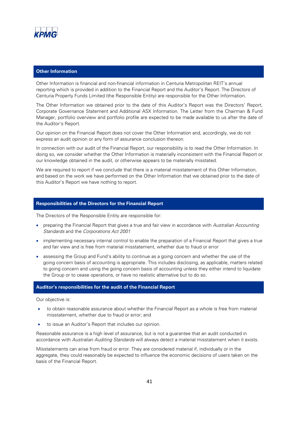

#### **Other Information**

Other Information is financial and non-financial information in Centuria Metropolitan REIT's annual reporting which is provided in addition to the Financial Report and the Auditor's Report. The Directors of Centuria Property Funds Limited (the Responsible Entity) are responsible for the Other Information.

The Other Information we obtained prior to the date of this Auditor's Report was the Directors' Report, Corporate Governance Statement and Additional ASX Information. The Letter from the Chairman & Fund Manager, portfolio overview and portfolio profile are expected to be made available to us after the date of the Auditor's Report.

Our opinion on the Financial Report does not cover the Other Information and, accordingly, we do not express an audit opinion or any form of assurance conclusion thereon.

In connection with our audit of the Financial Report, our responsibility is to read the Other Information. In doing so, we consider whether the Other Information is materially inconsistent with the Financial Report or our knowledge obtained in the audit, or otherwise appears to be materially misstated.

We are required to report if we conclude that there is a material misstatement of this Other Information, and based on the work we have performed on the Other Information that we obtained prior to the date of this Auditor's Report we have nothing to report.

#### **Responsibilities of the Directors for the Financial Report**

The Directors of the Responsible Entity are responsible for:

- preparing the Financial Report that gives a true and fair view in accordance with Australian Accounting Standards and the Corporations Act 2001
- implementing necessary internal control to enable the preparation of a Financial Report that gives a true and fair view and is free from material misstatement, whether due to fraud or error
- assessing the Group and Fund's ability to continue as a going concern and whether the use of the going concern basis of accounting is appropriate. This includes disclosing, as applicable, matters related to going concern and using the going concern basis of accounting unless they either intend to liquidate the Group or to cease operations, or have no realistic alternative but to do so.

#### **Auditor's responsibilities for the audit of the Financial Report**

Our objective is:

- to obtain reasonable assurance about whether the Financial Report as a whole is free from material misstatement, whether due to fraud or error; and
- to issue an Auditor's Report that includes our opinion.

Reasonable assurance is a high level of assurance, but is not a guarantee that an audit conducted in accordance with Australian Auditing Standards will always detect a material misstatement when it exists.

Misstatements can arise from fraud or error. They are considered material if, individually or in the aggregate, they could reasonably be expected to influence the economic decisions of users taken on the basis of the Financial Report.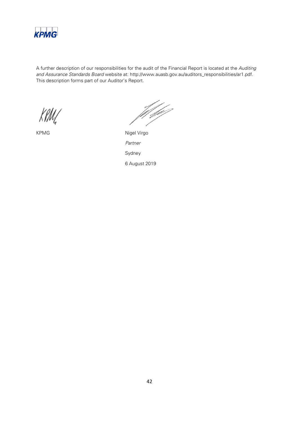

A further description of our responsibilities for the audit of the Financial Report is located at the Auditing and Assurance Standards Board website at: http://www.auasb.gov.au/auditors\_responsibilities/ar1.pdf. This description forms part of our Auditor's Report.

f fyl

KPMG Nigel Virgo Partner Sydney 6 August 2019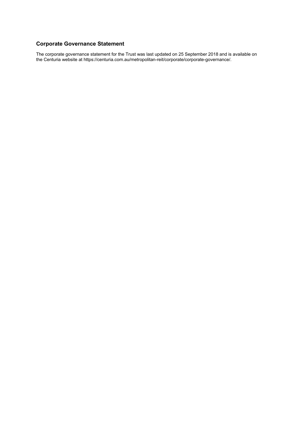### <span id="page-44-0"></span>**Corporate Governance Statement**

The corporate governance statement for the Trust was last updated on 25 September 2018 and is available on the Centuria website at https://centuria.com.au/metropolitan-reit/corporate/corporate-governance/.